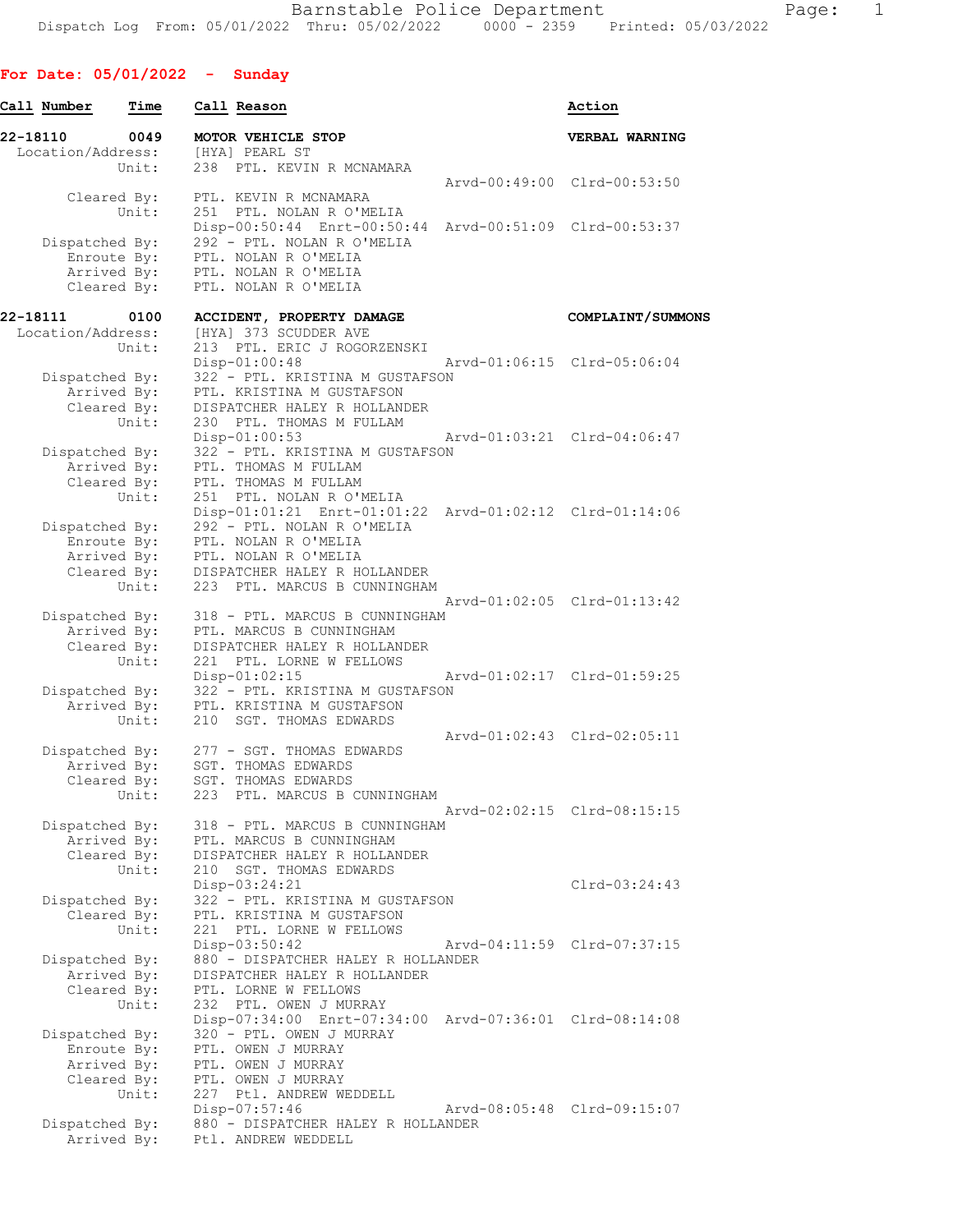## **For Date: 05/01/2022 - Sunday**

| Call Number       | Time                       | Call Reason                                                                         | Action                      |
|-------------------|----------------------------|-------------------------------------------------------------------------------------|-----------------------------|
| 22-18110          | 0049                       | MOTOR VEHICLE STOP                                                                  | VERBAL WARNING              |
| Location/Address: |                            | [HYA] PEARL ST                                                                      |                             |
|                   | Unit:                      | 238 PTL. KEVIN R MCNAMARA                                                           | Arvd-00:49:00 Clrd-00:53:50 |
|                   | Cleared By:                | PTL. KEVIN R MCNAMARA                                                               |                             |
|                   | Unit:                      | 251 PTL. NOLAN R O'MELIA                                                            |                             |
|                   |                            | Disp-00:50:44 Enrt-00:50:44 Arvd-00:51:09 Clrd-00:53:37                             |                             |
| Dispatched By:    |                            | 292 - PTL. NOLAN R O'MELIA                                                          |                             |
|                   | Enroute By:                | PTL. NOLAN R O'MELIA                                                                |                             |
|                   | Arrived By:<br>Cleared By: | PTL. NOLAN R O'MELIA<br>PTL. NOLAN R O'MELIA                                        |                             |
|                   |                            |                                                                                     |                             |
| 22-18111          | 0100                       | ACCIDENT, PROPERTY DAMAGE                                                           | COMPLAINT/SUMMONS           |
| Location/Address: |                            | [HYA] 373 SCUDDER AVE                                                               |                             |
|                   | Unit:                      | 213 PTL. ERIC J ROGORZENSKI                                                         |                             |
| Dispatched By:    |                            | $Disp-01:00:48$<br>322 - PTL. KRISTINA M GUSTAFSON                                  | Arvd-01:06:15 Clrd-05:06:04 |
|                   | Arrived By:                | PTL. KRISTINA M GUSTAFSON                                                           |                             |
|                   | Cleared By:                | DISPATCHER HALEY R HOLLANDER                                                        |                             |
|                   | Unit:                      | 230 PTL. THOMAS M FULLAM                                                            |                             |
|                   |                            | $Disp-01:00:53$                                                                     | Arvd-01:03:21 Clrd-04:06:47 |
| Dispatched By:    |                            | 322 - PTL. KRISTINA M GUSTAFSON                                                     |                             |
|                   | Arrived By:                | PTL. THOMAS M FULLAM                                                                |                             |
|                   | Cleared By:                | PTL. THOMAS M FULLAM                                                                |                             |
|                   | Unit:                      | 251 PTL. NOLAN R O'MELIA<br>Disp-01:01:21 Enrt-01:01:22 Arvd-01:02:12 Clrd-01:14:06 |                             |
| Dispatched By:    |                            | 292 - PTL. NOLAN R O'MELIA                                                          |                             |
|                   | Enroute By:                | PTL. NOLAN R O'MELIA                                                                |                             |
|                   | Arrived By:                | PTL. NOLAN R O'MELIA                                                                |                             |
|                   | Cleared By:                | DISPATCHER HALEY R HOLLANDER                                                        |                             |
|                   | Unit:                      | 223 PTL. MARCUS B CUNNINGHAM                                                        |                             |
|                   |                            |                                                                                     | Arvd-01:02:05 Clrd-01:13:42 |
| Dispatched By:    |                            | 318 - PTL. MARCUS B CUNNINGHAM                                                      |                             |
|                   | Arrived By:<br>Cleared By: | PTL. MARCUS B CUNNINGHAM<br>DISPATCHER HALEY R HOLLANDER                            |                             |
|                   | Unit:                      | 221 PTL. LORNE W FELLOWS                                                            |                             |
|                   |                            | $Disp-01:02:15$                                                                     | Arvd-01:02:17 Clrd-01:59:25 |
| Dispatched By:    |                            | 322 - PTL. KRISTINA M GUSTAFSON                                                     |                             |
|                   | Arrived By:                | PTL. KRISTINA M GUSTAFSON                                                           |                             |
|                   | Unit:                      | 210 SGT. THOMAS EDWARDS                                                             |                             |
|                   |                            |                                                                                     | Arvd-01:02:43 Clrd-02:05:11 |
| Dispatched By:    | Arrived By:                | 277 - SGT. THOMAS EDWARDS<br><b>SGT. THOMAS EDWARDS</b>                             |                             |
|                   | Cleared By:                | SGT. THOMAS EDWARDS                                                                 |                             |
|                   | Unit:                      | 223 PTL. MARCUS B CUNNINGHAM                                                        |                             |
|                   |                            |                                                                                     | Arvd-02:02:15 Clrd-08:15:15 |
| Dispatched By:    |                            | 318 - PTL. MARCUS B CUNNINGHAM                                                      |                             |
|                   | Arrived By:                | PTL. MARCUS B CUNNINGHAM                                                            |                             |
|                   | Cleared By:<br>Unit:       | DISPATCHER HALEY R HOLLANDER<br>210 SGT. THOMAS EDWARDS                             |                             |
|                   |                            | Disp-03:24:21                                                                       | $Clrd-03:24:43$             |
| Dispatched By:    |                            | 322 - PTL. KRISTINA M GUSTAFSON                                                     |                             |
|                   | Cleared By:                | PTL. KRISTINA M GUSTAFSON                                                           |                             |
|                   | Unit:                      | 221 PTL. LORNE W FELLOWS                                                            |                             |
|                   |                            | $Disp-03:50:42$                                                                     | Arvd-04:11:59 Clrd-07:37:15 |
| Dispatched By:    |                            | 880 - DISPATCHER HALEY R HOLLANDER                                                  |                             |
|                   | Arrived By:                | DISPATCHER HALEY R HOLLANDER                                                        |                             |
|                   | Cleared By:<br>Unit:       | PTL. LORNE W FELLOWS<br>232 PTL. OWEN J MURRAY                                      |                             |
|                   |                            | Disp-07:34:00 Enrt-07:34:00 Arvd-07:36:01 Clrd-08:14:08                             |                             |
| Dispatched By:    |                            | 320 - PTL. OWEN J MURRAY                                                            |                             |
|                   | Enroute By:                | PTL. OWEN J MURRAY                                                                  |                             |
|                   | Arrived By:                | PTL. OWEN J MURRAY                                                                  |                             |
|                   | Cleared By:                | PTL. OWEN J MURRAY                                                                  |                             |
|                   | Unit:                      | 227 Ptl. ANDREW WEDDELL                                                             |                             |
|                   |                            | $Disp-07:57:46$                                                                     | Arvd-08:05:48 Clrd-09:15:07 |
| Dispatched By:    | Arrived By:                | 880 - DISPATCHER HALEY R HOLLANDER<br>Ptl. ANDREW WEDDELL                           |                             |
|                   |                            |                                                                                     |                             |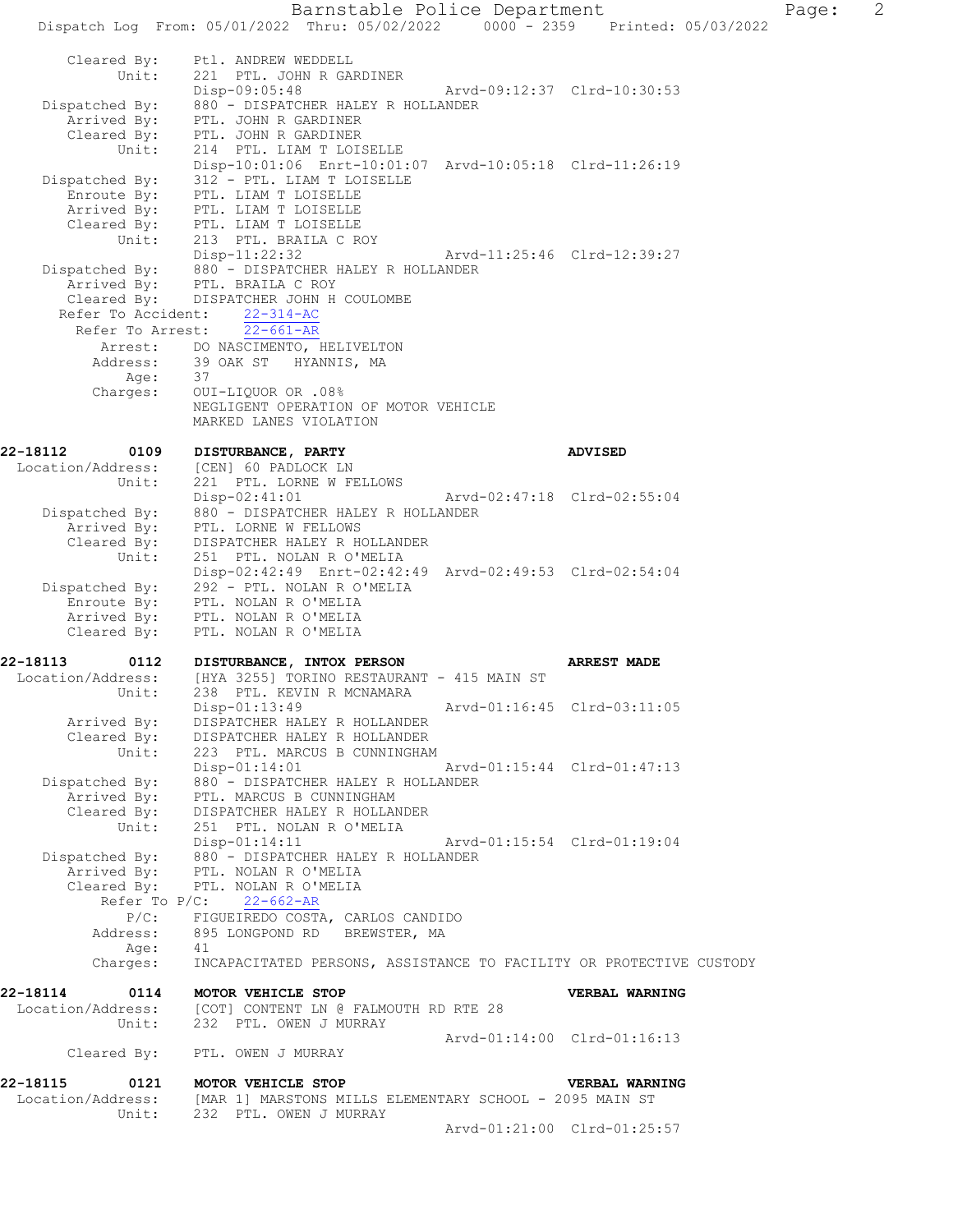Barnstable Police Department Page: 2 Dispatch Log From: 05/01/2022 Thru: 05/02/2022 0000 - 2359 Printed: 05/03/2022 Cleared By: Ptl. ANDREW WEDDELL Unit: 221 PTL. JOHN R GARDINER Disp-09:05:48 Arvd-09:12:37 Clrd-10:30:53 Dispatched By: 880 - DISPATCHER HALEY R HOLLANDER Arrived By: PTL. JOHN R GARDINER Cleared By: PTL. JOHN R GARDINER Unit: 214 PTL. LIAM T LOISELLE Disp-10:01:06 Enrt-10:01:07 Arvd-10:05:18 Clrd-11:26:19 Dispatched By: 312 - PTL. LIAM T LOISELLE Enroute By: PTL. LIAM T LOISELLE Arrived By: PTL. LIAM T LOISELLE Cleared By: PTL. LIAM T LOISELLE Unit: 213 PTL. BRAILA C ROY<br>Disp-11:22:32 Disp-11:22:32 Arvd-11:25:46 Clrd-12:39:27 Dispatched By: 880 - DISPATCHER HALEY R HOLLANDER Arrived By: PTL. BRAILA C ROY Cleared By: DISPATCHER JOHN H COULOMBE Refer To Accident: 22-314-AC Refer To Arrest: 22-661-AR Arrest: DO NASCIMENTO, HELIVELTON Address: 39 OAK ST HYANNIS, MA Age: 37 Charges: OUI-LIQUOR OR .08% NEGLIGENT OPERATION OF MOTOR VEHICLE MARKED LANES VIOLATION **22-18112 0109 DISTURBANCE, PARTY ADVISED**  Location/Address: [CEN] 60 PADLOCK LN Unit: 221 PTL. LORNE W FELLOWS Disp-02:41:01 Arvd-02:47:18 Clrd-02:55:04 Dispatched By: 880 - DISPATCHER HALEY R HOLLANDER Arrived By: PTL. LORNE W FELLOWS Cleared By: DISPATCHER HALEY R HOLLANDER Unit: 251 PTL. NOLAN R O'MELIA Disp-02:42:49 Enrt-02:42:49 Arvd-02:49:53 Clrd-02:54:04 Dispatched By: 292 - PTL. NOLAN R O'MELIA Enroute By: PTL. NOLAN R O'MELIA Arrived By: PTL. NOLAN R O'MELIA Cleared By: PTL. NOLAN R O'MELIA **22-18113 0112 DISTURBANCE, INTOX PERSON ARREST MADE**  Location/Address: [HYA 3255] TORINO RESTAURANT - 415 MAIN ST Unit: 238 PTL. KEVIN R MCNAMARA Disp-01:13:49 Arvd-01:16:45 Clrd-03:11:05 Arrived By: DISPATCHER HALEY R HOLLANDER Cleared By: DISPATCHER HALEY R HOLLANDER Unit: 223 PTL. MARCUS B CUNNINGHAM Disp-01:14:01 Arvd-01:15:44 Clrd-01:47:13 Dispatched By: 880 - DISPATCHER HALEY R HOLLANDER Arrived By: PTL. MARCUS B CUNNINGHAM Cleared By: DISPATCHER HALEY R HOLLANDER Unit: 251 PTL. NOLAN R O'MELIA Disp-01:14:11 Arvd-01:15:54 Clrd-01:19:04 Dispatched By: 880 - DISPATCHER HALEY R HOLLANDER Arrived By: PTL. NOLAN R O'MELIA Cleared By: PTL. NOLAN R O'MELIA Refer To P/C: 22-662-AR P/C: FIGUEIREDO COSTA, CARLOS CANDIDO<br>Address: 895 LONGPOND RD BREWSTER, MA 895 LONGPOND RD BREWSTER, MA Age: 41 Charges: INCAPACITATED PERSONS, ASSISTANCE TO FACILITY OR PROTECTIVE CUSTODY **22-18114 0114 MOTOR VEHICLE STOP VERBAL WARNING**  Location/Address: [COT] CONTENT LN @ FALMOUTH RD RTE 28 Location/Address: [COT] CONTENT LN @ FALMO<br>Unit: 232 PTL. OWEN J MURRAY Arvd-01:14:00 Clrd-01:16:13 Cleared By: PTL. OWEN J MURRAY **22-18115 0121 MOTOR VEHICLE STOP VERBAL WARNING**  Location/Address: [MAR 1] MARSTONS MILLS ELEMENTARY SCHOOL - 2095 MAIN ST Unit: 232 PTL. OWEN J MURRAY Arvd-01:21:00 Clrd-01:25:57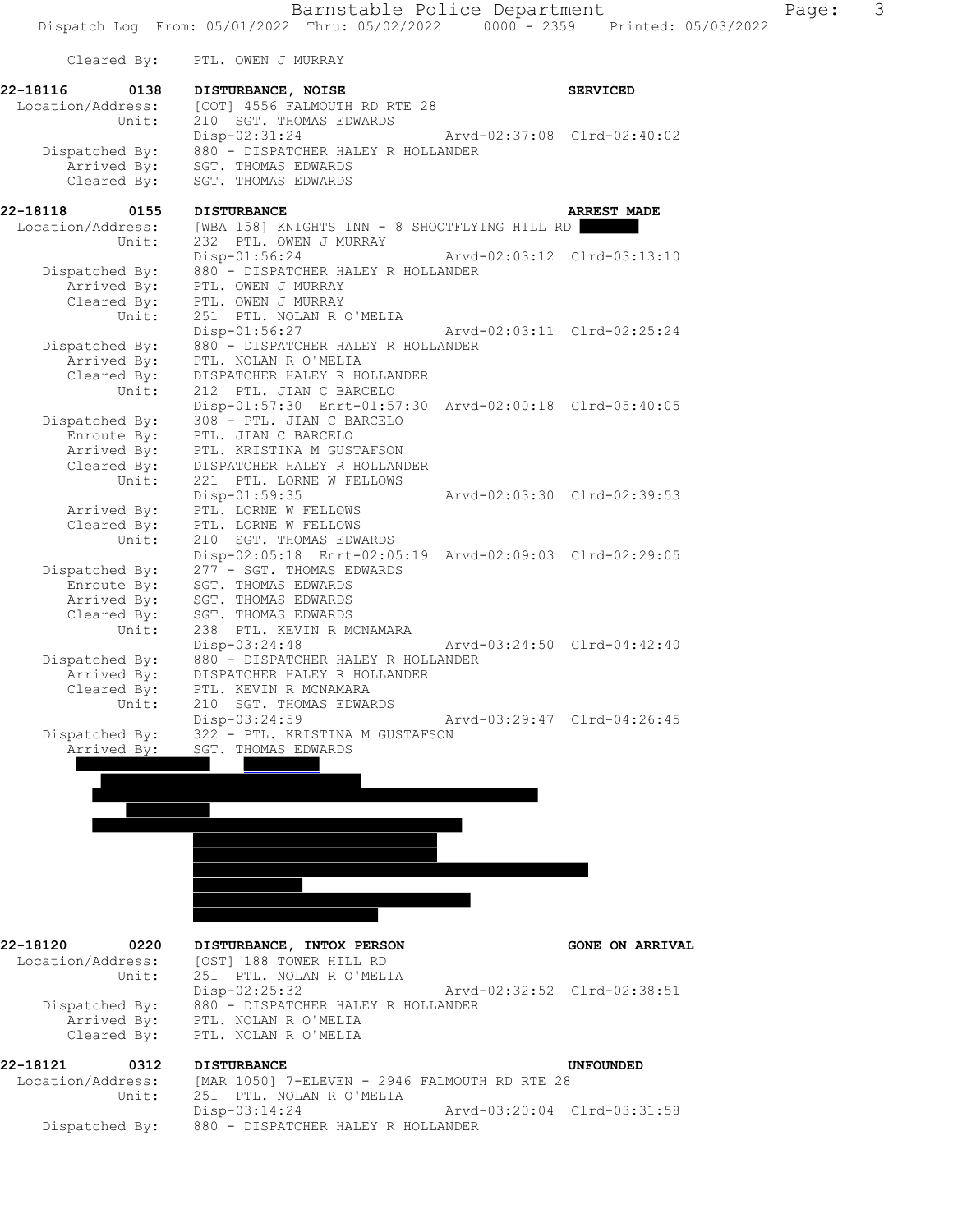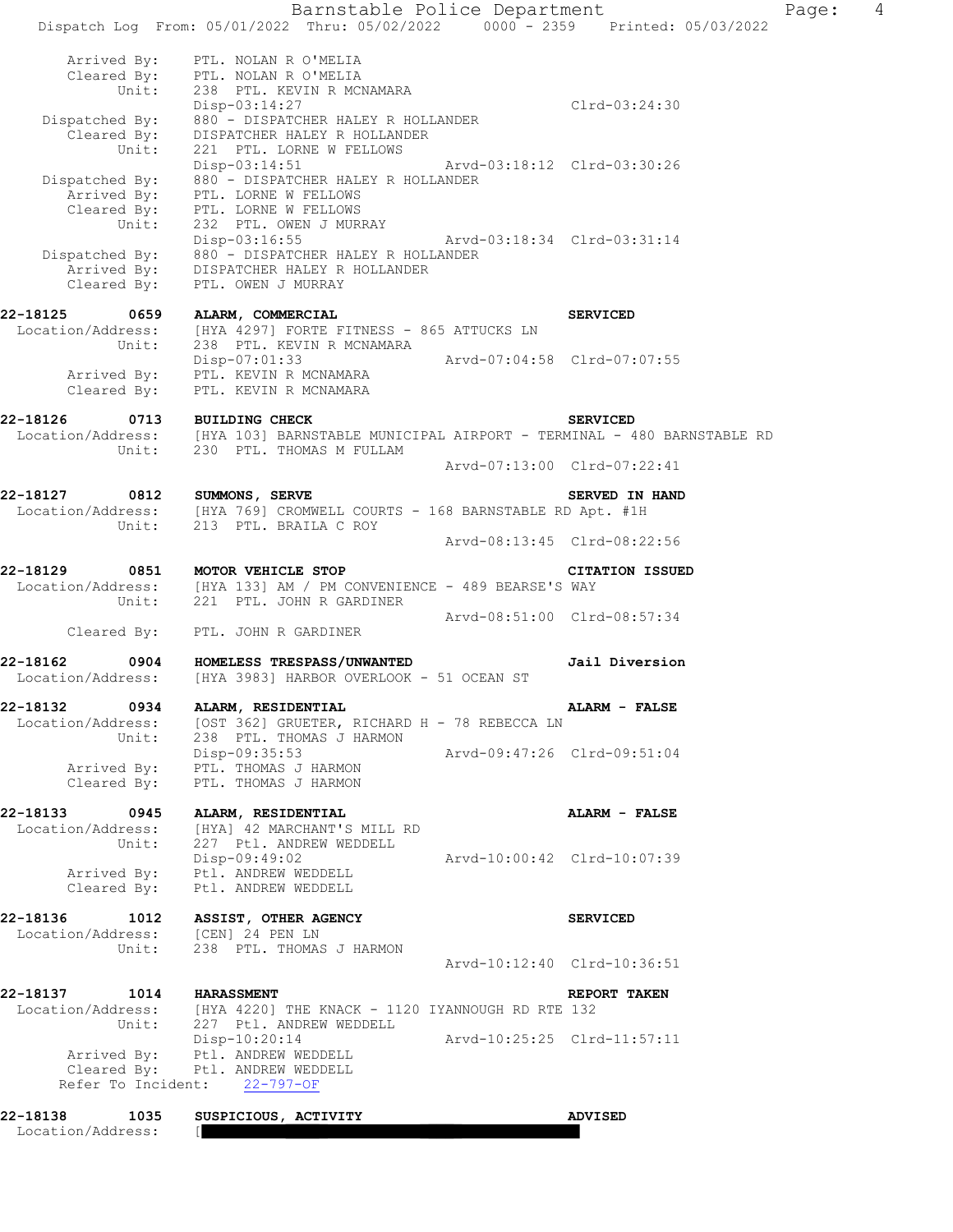Barnstable Police Department Page: 4 Dispatch Log From: 05/01/2022 Thru: 05/02/2022 0000 - 2359 Printed: 05/03/2022 Arrived By: PTL. NOLAN R O'MELIA Cleared By: PTL. NOLAN R O'MELIA Unit: 238 PTL. KEVIN R MCNAMARA Disp-03:14:27 Clrd-03:24:30 Dispatched By: 880 - DISPATCHER HALEY R HOLLANDER Cleared By: DISPATCHER HALEY R HOLLANDER Unit: 221 PTL. LORNE W FELLOWS Disp-03:14:51 Arvd-03:18:12 Clrd-03:30:26 Dispatched By: 880 - DISPATCHER HALEY R HOLLANDER Arrived By: PTL. LORNE W FELLOWS Cleared By: PTL. LORNE W FELLOWS Unit: 232 PTL. OWEN J MURRAY Disp-03:16:55 Arvd-03:18:34 Clrd-03:31:14 Dispatched By: 880 - DISPATCHER HALEY R HOLLANDER Arrived By: DISPATCHER HALEY R HOLLANDER Cleared By: PTL. OWEN J MURRAY **22-18125 0659 ALARM, COMMERCIAL SERVICED**  Location/Address: [HYA 4297] FORTE FITNESS - 865 ATTUCKS LN Unit: 238 PTL. KEVIN R MCNAMARA Disp-07:01:33 Arvd-07:04:58 Clrd-07:07:55 Arrived By: PTL. KEVIN R MCNAMARA Cleared By: PTL. KEVIN R MCNAMARA **22-18126 0713 BUILDING CHECK SERVICED**  Location/Address: [HYA 103] BARNSTABLE MUNICIPAL AIRPORT - TERMINAL - 480 BARNSTABLE RD Unit: 230 PTL. THOMAS M FULLAM Arvd-07:13:00 Clrd-07:22:41 **22-18127** 0812 SUMMONS, SERVE SERVE SERVED IN HAND Location/Address: [HYA 769] CROMWELL COURTS - 168 BARNSTABLE RD Apt. #1H Unit: 213 PTL. BRAILA C ROY Arvd-08:13:45 Clrd-08:22:56 **22-18129 0851 MOTOR VEHICLE STOP CITATION ISSUED**  Location/Address: [HYA 133] AM / PM CONVENIENCE - 489 BEARSE'S WAY Unit: 221 PTL. JOHN R GARDINER Arvd-08:51:00 Clrd-08:57:34 Cleared By: PTL. JOHN R GARDINER **22-18162 0904 HOMELESS TRESPASS/UNWANTED Jail Diversion**  Location/Address: [HYA 3983] HARBOR OVERLOOK - 51 OCEAN ST **22-18132 0934 ALARM, RESIDENTIAL ALARM - FALSE**  Location/Address: [OST 362] GRUETER, RICHARD H - 78 REBECCA LN Unit: 238 PTL. THOMAS J HARMON Disp-09:35:53 Arvd-09:47:26 Clrd-09:51:04 Arrived By: PTL. THOMAS J HARMON Cleared By: PTL. THOMAS J HARMON **22-18133 0945 ALARM, RESIDENTIAL ALARM - FALSE**  Location/Address: [HYA] 42 MARCHANT'S MILL RD Unit: 227 Ptl. ANDREW WEDDELL Disp-09:49:02 Arvd-10:00:42 Clrd-10:07:39 Arrived By: Ptl. ANDREW WEDDELL Cleared By: Ptl. ANDREW WEDDELL **22-18136 1012 ASSIST, OTHER AGENCY SERVICED**  Location/Address: [CEN] 24 PEN LN Unit: 238 PTL. THOMAS J HARMON Arvd-10:12:40 Clrd-10:36:51 **22-18137 1014 HARASSMENT REPORT TAKEN**  Location/Address: [HYA 4220] THE KNACK - 1120 IYANNOUGH RD RTE 132 Unit: 227 Ptl. ANDREW WEDDELL Disp-10:20:14 Arvd-10:25:25 Clrd-11:57:11 Arrived By: Ptl. ANDREW WEDDELL Cleared By: Ptl. ANDREW WEDDELL Refer To Incident: 22-797-OF **22-18138 1035 SUSPICIOUS, ACTIVITY ADVISED**<br>Location/Address: [**2008**]

Location/Address: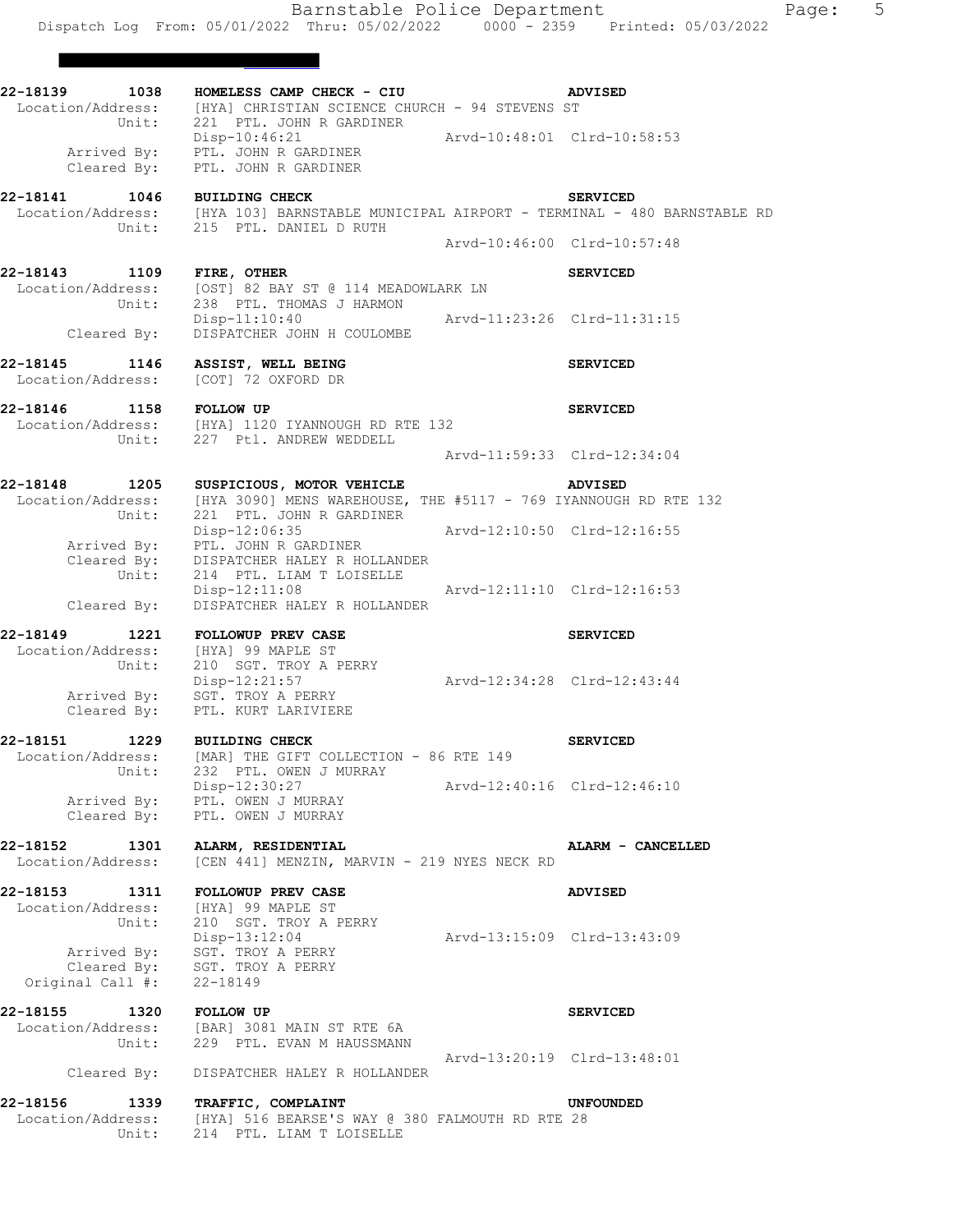**22-18139 1038 HOMELESS CAMP CHECK - CIU ADVISED**  Location/Address: [HYA] CHRISTIAN SCIENCE CHURCH - 94 STEVENS ST Unit: 221 PTL. JOHN R GARDINER Disp-10:46:21 Arvd-10:48:01 Clrd-10:58:53 Arrived By: PTL. JOHN R GARDINER Cleared By: PTL. JOHN R GARDINER **22-18141 1046 BUILDING CHECK SERVICED**  [HYA 103] BARNSTABLE MUNICIPAL AIRPORT - TERMINAL - 480 BARNSTABLE RD Unit: 215 PTL. DANIEL D RUTH Arvd-10:46:00 Clrd-10:57:48 **22-18143 1109 FIRE, OTHER SERVICED**  Location/Address: [OST] 82 BAY ST @ 114 MEADOWLARK LN Unit: 238 PTL. THOMAS J HARMON UNIT: 238 PTL. THOMAS J HARMON<br>Disp-11:10:40 Arvd-11:23:26 Clrd-11:31:15 Cleared By: DISPATCHER JOHN H COULOMBE **22-18145 1146 ASSIST, WELL BEING SERVICED**  Location/Address: [COT] 72 OXFORD DR **22-18146 1158 FOLLOW UP SERVICED**  Location/Address: [HYA] 1120 IYANNOUGH RD RTE 132 Unit: 227 Ptl. ANDREW WEDDELL Arvd-11:59:33 Clrd-12:34:04 **22-18148 1205 SUSPICIOUS, MOTOR VEHICLE ADVISED**  Location/Address: [HYA 3090] MENS WAREHOUSE, THE #5117 - 769 IYANNOUGH RD RTE 132 Unit: 221 PTL. JOHN R GARDINER Disp-12:06:35 Arvd-12:10:50 Clrd-12:16:55 Arrived By: PTL. JOHN R GARDINER Cleared By: DISPATCHER HALEY R HOLLANDER Unit: 214 PTL. LIAM T LOISELLE Disp-12:11:08 Arvd-12:11:10 Clrd-12:16:53 Cleared By: DISPATCHER HALEY R HOLLANDER 22-18149 1221 FOLLOWUP PREV CASE **1221** FOLLOWUP PREV CASE Location/Address: [HYA] 99 MAPLE ST<br>Unit: 210 SGT. TROY A PI 210 SGT. TROY A PERRY Disp-12:21:57 Arvd-12:34:28 Clrd-12:43:44 Arrived By: SGT. TROY A PERRY Cleared By: PTL. KURT LARIVIERE **22-18151 1229 BUILDING CHECK SERVICED**  Location/Address: [MAR] THE GIFT COLLECTION - 86 RTE 149 Unit: 232 PTL. OWEN J MURRAY Disp-12:30:27 Arvd-12:40:16 Clrd-12:46:10 Arrived By: PTL. OWEN J MURRAY Cleared By: PTL. OWEN J MURRAY **22-18152 1301 ALARM, RESIDENTIAL ALARM - CANCELLED**  Location/Address: [CEN 441] MENZIN, MARVIN - 219 NYES NECK RD **22-18153 1311 FOLLOWUP PREV CASE ADVISED**  Location/Address: [HYA] 99 MAPLE ST Unit: 210 SGT. TROY A PERRY Disp-13:12:04 Arvd-13:15:09 Clrd-13:43:09 Arrived By: SGT. TROY A PERRY Cleared By: SGT. TROY A PERRY Original Call #: 22-18149 **22-18155 1320 FOLLOW UP SERVICED**  Location/Address: [BAR] 3081 MAIN ST RTE 6A Unit: 229 PTL. EVAN M HAUSSMANN Arvd-13:20:19 Clrd-13:48:01 Cleared By: DISPATCHER HALEY R HOLLANDER **22-18156 1339 TRAFFIC, COMPLAINT UNFOUNDED**  Location/Address: [HYA] 516 BEARSE'S WAY @ 380 FALMOUTH RD RTE 28 Unit: 214 PTL. LIAM T LOISELLE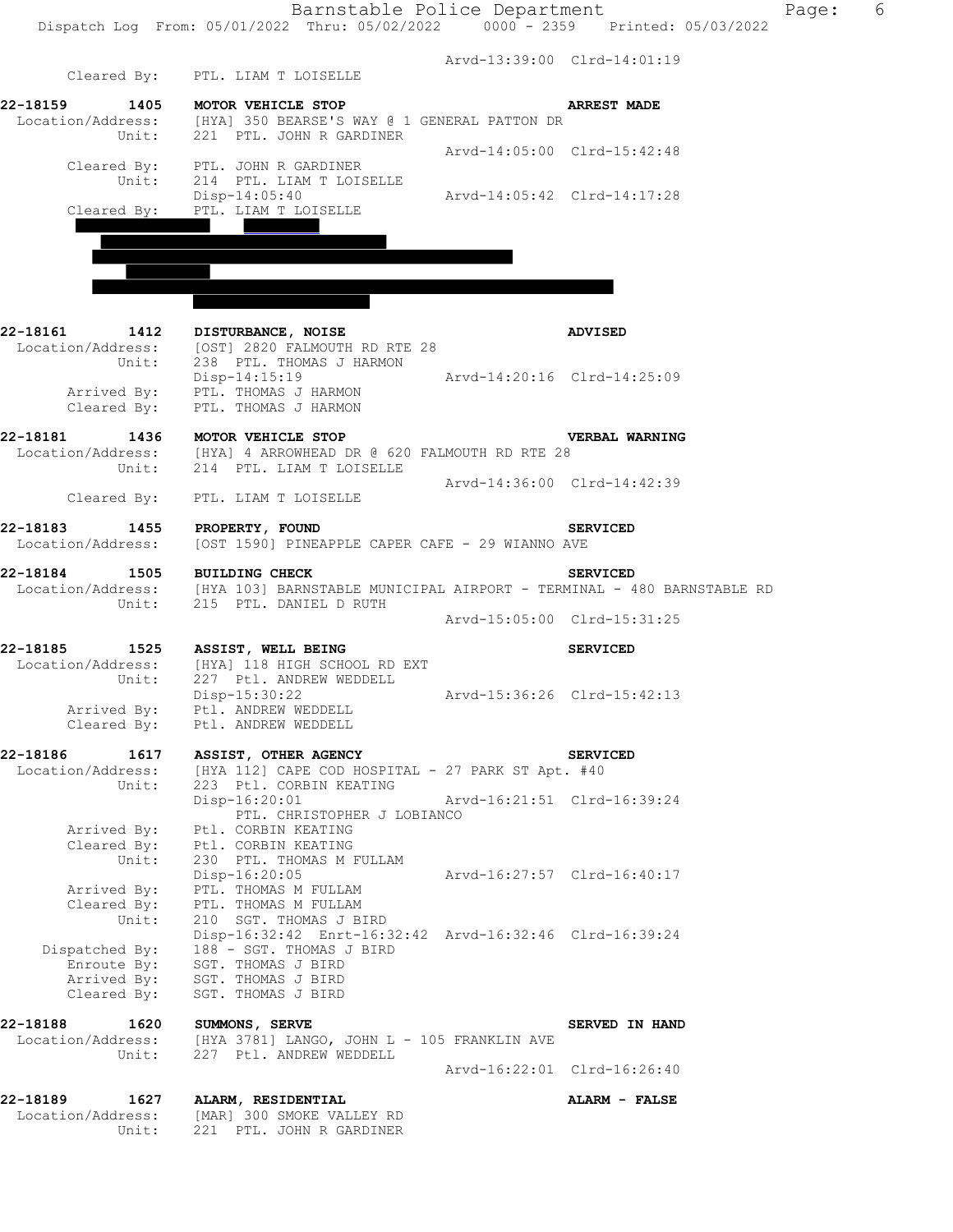|                               | Barnstable Police Department<br>Dispatch Log From: 05/01/2022 Thru: 05/02/2022 0000 - 2359 Printed: 05/03/2022                                    |                             |                             | Page: | 6 |
|-------------------------------|---------------------------------------------------------------------------------------------------------------------------------------------------|-----------------------------|-----------------------------|-------|---|
|                               |                                                                                                                                                   |                             |                             |       |   |
|                               | Cleared By: PTL. LIAM T LOISELLE                                                                                                                  |                             | Arvd-13:39:00 Clrd-14:01:19 |       |   |
| 22-18159                      | 1405 MOTOR VEHICLE STOP                                                                                                                           |                             | <b>ARREST MADE</b>          |       |   |
|                               | Location/Address: [HYA] 350 BEARSE'S WAY @ 1 GENERAL PATTON DR<br>Unit: 221 PTL. JOHN R GARDINER                                                  |                             |                             |       |   |
|                               |                                                                                                                                                   |                             | Arvd-14:05:00 Clrd-15:42:48 |       |   |
| Unit:                         | Cleared By: PTL. JOHN R GARDINER<br>214 PTL. LIAM T LOISELLE                                                                                      |                             |                             |       |   |
|                               | Disp-14:05:40                                                                                                                                     | Arvd-14:05:42 Clrd-14:17:28 |                             |       |   |
|                               | Cleared By: PTL. LIAM T LOISELLE                                                                                                                  |                             |                             |       |   |
|                               |                                                                                                                                                   |                             |                             |       |   |
|                               |                                                                                                                                                   |                             |                             |       |   |
|                               |                                                                                                                                                   |                             |                             |       |   |
| 22-18161<br>1412              | DISTURBANCE, NOISE                                                                                                                                |                             | <b>ADVISED</b>              |       |   |
| Location/Address:             | [OST] 2820 FALMOUTH RD RTE 28                                                                                                                     |                             |                             |       |   |
| Unit:                         | 238 PTL. THOMAS J HARMON<br>Disp-14:15:19 Arvd-14:20:16 Clrd-14:25:09                                                                             |                             |                             |       |   |
|                               | Arrived By: PTL. THOMAS J HARMON<br>Cleared By: PTL. THOMAS J HARMON                                                                              |                             |                             |       |   |
|                               |                                                                                                                                                   |                             |                             |       |   |
|                               | 22-18181 1436 MOTOR VEHICLE STOP<br>Location/Address: [HYA] 4 ARROWHEAD DR @ 620 FALMOUTH RD RTE 28                                               |                             | <b>VERBAL WARNING</b>       |       |   |
| Unit:                         | 214 PTL. LIAM T LOISELLE                                                                                                                          |                             |                             |       |   |
|                               | Cleared By: PTL. LIAM T LOISELLE                                                                                                                  |                             | Arvd-14:36:00 Clrd-14:42:39 |       |   |
| 22-18183 1455 PROPERTY, FOUND |                                                                                                                                                   |                             | <b>SERVICED</b>             |       |   |
| Location/Address:             | [OST 1590] PINEAPPLE CAPER CAFE - 29 WIANNO AVE                                                                                                   |                             |                             |       |   |
| 22-18184                      | 1505 BUILDING CHECK                                                                                                                               |                             | <b>SERVICED</b>             |       |   |
|                               | Location/Address: [HYA 103] BARNSTABLE MUNICIPAL AIRPORT - TERMINAL - 480 BARNSTABLE RD<br>Unit: 215 PTL. DANIEL D RUTH<br>215 PTL. DANIEL D RUTH |                             |                             |       |   |
|                               |                                                                                                                                                   |                             | Arvd-15:05:00 Clrd-15:31:25 |       |   |
| 22-18185                      | 1525 ASSIST, WELL BEING<br>Location/Address: [HYA] 118 HIGH SCHOOL RD EXT                                                                         |                             | <b>SERVICED</b>             |       |   |
| Unit:                         | 227 Ptl. ANDREW WEDDELL                                                                                                                           |                             |                             |       |   |
| Arrived By:                   | Disp-15:30:22<br>Ptl. ANDREW WEDDELL                                                                                                              |                             | Arvd-15:36:26 Clrd-15:42:13 |       |   |
| Cleared By:                   | Ptl. ANDREW WEDDELL                                                                                                                               |                             |                             |       |   |
| 22-18186<br>1617              | <b>ASSIST, OTHER AGENCY</b>                                                                                                                       |                             | <b>SERVICED</b>             |       |   |
| Location/Address:<br>Unit:    | [HYA 112] CAPE COD HOSPITAL - 27 PARK ST Apt. #40<br>223 Ptl. CORBIN KEATING                                                                      |                             |                             |       |   |
|                               | Disp-16:20:01                                                                                                                                     | Arvd-16:21:51 Clrd-16:39:24 |                             |       |   |
| Arrived By:                   | PTL. CHRISTOPHER J LOBIANCO<br>Ptl. CORBIN KEATING                                                                                                |                             |                             |       |   |
| Cleared By:<br>Unit:          | Ptl. CORBIN KEATING<br>230 PTL. THOMAS M FULLAM                                                                                                   |                             |                             |       |   |
|                               | Disp-16:20:05                                                                                                                                     | Arvd-16:27:57 Clrd-16:40:17 |                             |       |   |
| Arrived By:<br>Cleared By:    | PTL. THOMAS M FULLAM<br>PTL. THOMAS M FULLAM                                                                                                      |                             |                             |       |   |
| Unit:                         | 210 SGT. THOMAS J BIRD<br>Disp-16:32:42 Enrt-16:32:42 Arvd-16:32:46 Clrd-16:39:24                                                                 |                             |                             |       |   |
| Dispatched By:                | 188 - SGT. THOMAS J BIRD                                                                                                                          |                             |                             |       |   |
| Enroute By:<br>Arrived By:    | SGT. THOMAS J BIRD<br>SGT. THOMAS J BIRD                                                                                                          |                             |                             |       |   |
| Cleared By:                   | SGT. THOMAS J BIRD                                                                                                                                |                             |                             |       |   |
| 22-18188 1620                 | SUMMONS, SERVE                                                                                                                                    |                             | SERVED IN HAND              |       |   |
| Location/Address:<br>Unit:    | [HYA 3781] LANGO, JOHN L - 105 FRANKLIN AVE<br>227 Ptl. ANDREW WEDDELL                                                                            |                             |                             |       |   |
|                               |                                                                                                                                                   |                             | Arvd-16:22:01 Clrd-16:26:40 |       |   |
| 22-18189                      | 1627 ALARM, RESIDENTIAL                                                                                                                           |                             | ALARM - FALSE               |       |   |
| Location/Address:<br>Unit:    | [MAR] 300 SMOKE VALLEY RD<br>221 PTL. JOHN R GARDINER                                                                                             |                             |                             |       |   |
|                               |                                                                                                                                                   |                             |                             |       |   |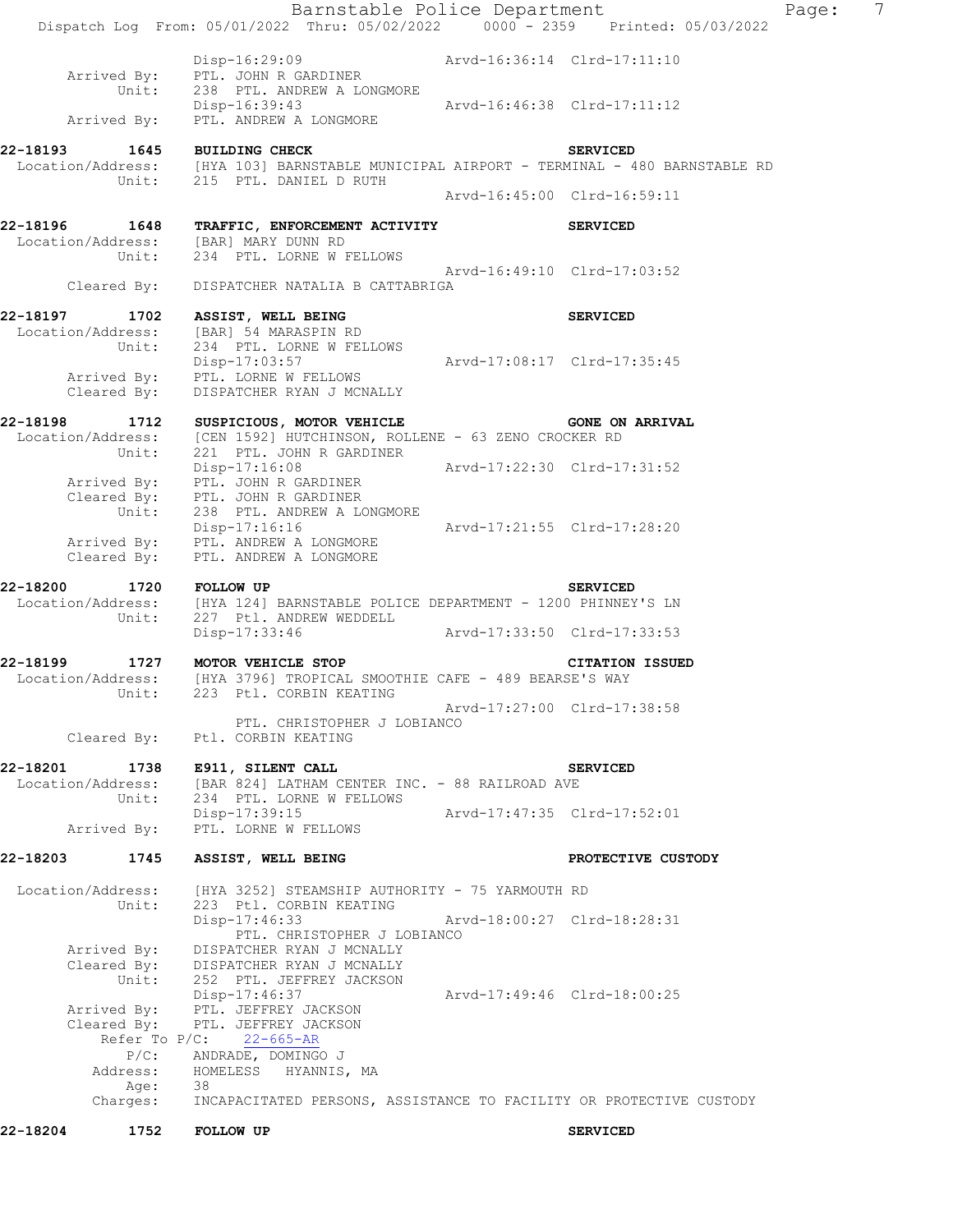| 22-18204                | 1752                                      | <b>FOLLOW UP</b>                                                                                                                      |                             | <b>SERVICED</b>              |       |                |
|-------------------------|-------------------------------------------|---------------------------------------------------------------------------------------------------------------------------------------|-----------------------------|------------------------------|-------|----------------|
|                         | Address:<br>Age:<br>Charges:              | HOMELESS HYANNIS, MA<br>38<br>INCAPACITATED PERSONS, ASSISTANCE TO FACILITY OR PROTECTIVE CUSTODY                                     |                             |                              |       |                |
|                         | Cleared By:<br>Refer To P/C:<br>$P/C$ :   | Arrived By: PTL. JEFFREY JACKSON<br>PTL. JEFFREY JACKSON<br>$22 - 665 - AR$<br>ANDRADE, DOMINGO J                                     |                             |                              |       |                |
|                         | Arrived By:<br>Unit:                      | DISPATCHER RYAN J MCNALLY<br>Cleared By: DISPATCHER RYAN J MCNALLY<br>252 PTL. JEFFREY JACKSON<br>Disp-17:46:37                       | Arvd-17:49:46 Clrd-18:00:25 |                              |       |                |
|                         | Unit:                                     | 223 Ptl. CORBIN KEATING<br>Disp-17:46:33<br>PTL. CHRISTOPHER J LOBIANCO                                                               | Arvd-18:00:27 Clrd-18:28:31 |                              |       |                |
| Location/Address:       |                                           | [HYA 3252] STEAMSHIP AUTHORITY - 75 YARMOUTH RD                                                                                       |                             |                              |       |                |
| 22-18203                | 1745                                      | ASSIST, WELL BEING                                                                                                                    |                             | PROTECTIVE CUSTODY           |       |                |
|                         | Location/Address:<br>Unit:<br>Arrived By: | [BAR 824] LATHAM CENTER INC. - 88 RAILROAD AVE<br>234 PTL. LORNE W FELLOWS<br>Disp-17:39:15<br>PTL. LORNE W FELLOWS                   | Arvd-17:47:35 Clrd-17:52:01 |                              |       |                |
| 22-18201                | 1738                                      | E911, SILENT CALL                                                                                                                     |                             | <b>SERVICED</b>              |       |                |
|                         | Cleared By:                               | PTL. CHRISTOPHER J LOBIANCO<br>Ptl. CORBIN KEATING                                                                                    | Arvd-17:27:00 Clrd-17:38:58 |                              |       |                |
| 22-18199                | Unit:                                     | 1727 MOTOR VEHICLE STOP<br>Location/Address: [HYA 3796] TROPICAL SMOOTHIE CAFE - 489 BEARSE'S WAY<br>223 Ptl. CORBIN KEATING          |                             | <b>CITATION ISSUED</b>       |       |                |
|                         |                                           | Disp-17:33:46                                                                                                                         | Arvd-17:33:50 Clrd-17:33:53 |                              |       |                |
| 22-18200 1720 FOLLOW UP | Unit:                                     | Location/Address: [HYA 124] BARNSTABLE POLICE DEPARTMENT - 1200 PHINNEY'S LN<br>227 Ptl. ANDREW WEDDELL                               |                             | <b>SERVICED</b>              |       |                |
|                         |                                           | Arrived By: PTL. ANDREW A LONGMORE<br>Cleared By: PTL. ANDREW A LONGMORE                                                              |                             |                              |       |                |
|                         | Unit:                                     | Arrived By: PTL. JOHN R GARDINER<br>Cleared By: PTL. JOHN R GARDINER<br>238 PTL. ANDREW A LONGMORE<br>Disp-17:16:16                   | Arvd-17:21:55 Clrd-17:28:20 |                              |       |                |
|                         | Unit:                                     | 221 PTL. JOHN R GARDINER<br>Disp-17:16:08 Arvd-17:22:30 Clrd-17:31:52                                                                 |                             |                              |       |                |
|                         |                                           | 22-18198 1712 SUSPICIOUS, MOTOR VEHICLE 63 ZENO CROCKER RD<br>Location/Address: [CEN 1592] HUTCHINSON, ROLLENE - 63 ZENO CROCKER RD   |                             | <b>GONE ON ARRIVAL</b>       |       |                |
|                         | Unit:<br>Cleared By:                      | 234 PTL. LORNE W FELLOWS<br>Disp-17:03:57<br>Arrived By: PTL. LORNE W FELLOWS<br>DISPATCHER RYAN J MCNALLY                            | Arvd-17:08:17 Clrd-17:35:45 |                              |       |                |
| 22-18197                | Location/Address:                         | 1702 ASSIST, WELL BEING<br>[BAR] 54 MARASPIN RD                                                                                       |                             | <b>SERVICED</b>              |       |                |
|                         |                                           | Unit: 234 PTL. LORNE W FELLOWS<br>Cleared By: DISPATCHER NATALIA B CATTABRIGA                                                         | Arvd-16:49:10 Clrd-17:03:52 |                              |       |                |
|                         |                                           | 22-18196  1648 TRAFFIC, ENFORCEMENT ACTIVITY<br>Location/Address: [BAR] MARY DUNN RD                                                  |                             | <b>SERVICED</b>              |       |                |
|                         |                                           | Unit: 215 PTL. DANIEL D RUTH                                                                                                          | Arvd-16:45:00 Clrd-16:59:11 |                              |       |                |
| 22-18193                |                                           | 2-18193   1645   BUILDING CHECK   SERVICED<br>Location/Address: [HYA 103] BARNSTABLE MUNICIPAL AIRPORT - TERMINAL - 480 BARNSTABLE RD |                             |                              |       |                |
|                         | Arrived By:                               | Unit: 238 PTL. ANDREW A LONGMORE<br>Disp-16:39:43<br>PTL. ANDREW A LONGMORE                                                           | Arvd-16:46:38 Clrd-17:11:12 |                              |       |                |
|                         | Arrived By:                               | Disp-16:29:09 Arvd-16:36:14 Clrd-17:11:10<br>PTL. JOHN R GARDINER                                                                     |                             |                              |       |                |
|                         |                                           | Dispatch Log From: 05/01/2022 Thru: 05/02/2022 0000 - 2359 Printed: 05/03/2022                                                        |                             | Barnstable Police Department | Page: | $\overline{7}$ |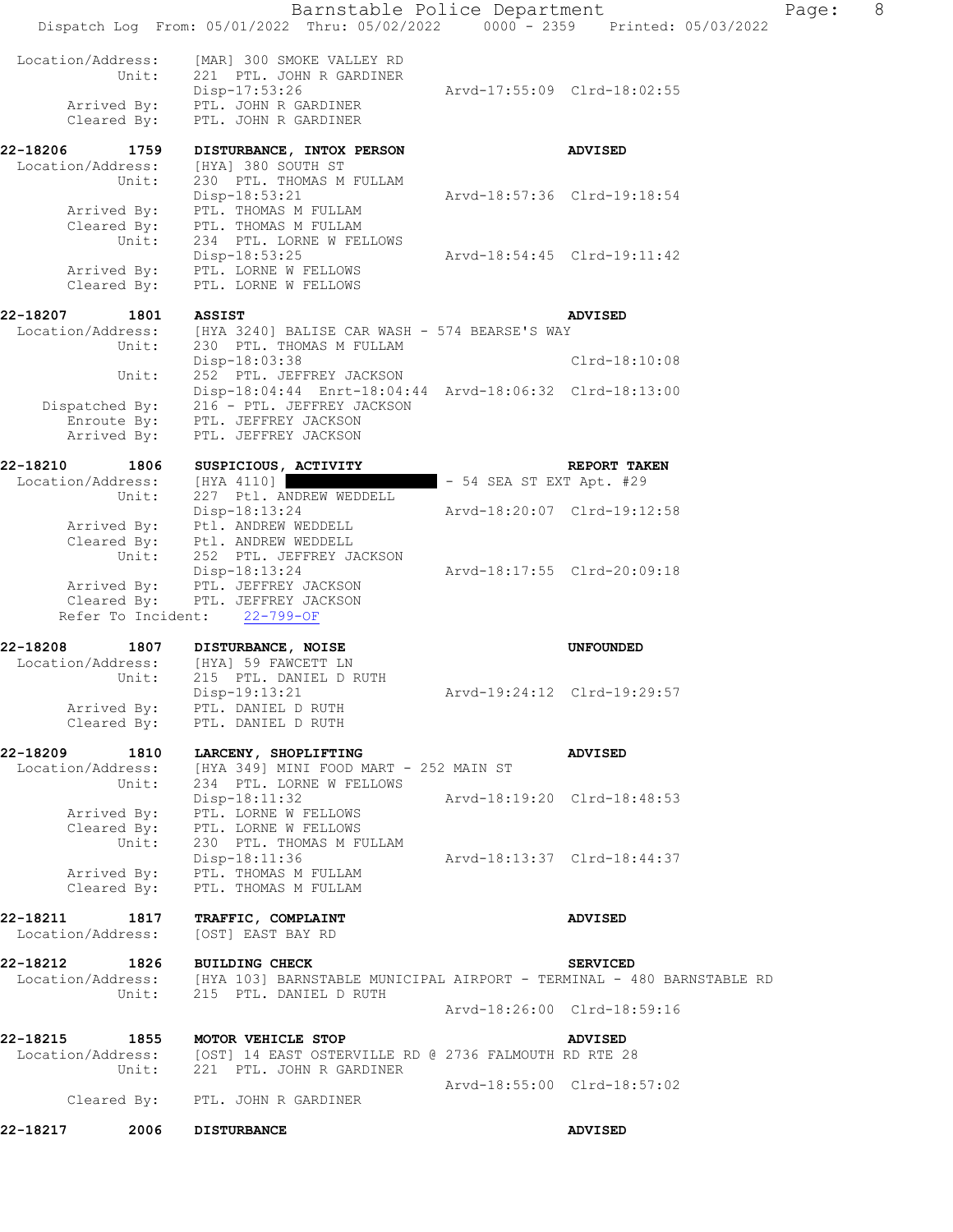|          |                            | Barnstable Police Department<br>Dispatch Log From: 05/01/2022 Thru: 05/02/2022 0000 - 2359 Printed: 05/03/2022    |                             |                             | Page: | 8 |
|----------|----------------------------|-------------------------------------------------------------------------------------------------------------------|-----------------------------|-----------------------------|-------|---|
|          |                            |                                                                                                                   |                             |                             |       |   |
|          | Location/Address:          | [MAR] 300 SMOKE VALLEY RD                                                                                         |                             |                             |       |   |
|          | Unit:                      | 221 PTL. JOHN R GARDINER<br>$Disp-17:53:26$                                                                       |                             | Arvd-17:55:09 Clrd-18:02:55 |       |   |
|          |                            | Arrived By: PTL. JOHN R GARDINER                                                                                  |                             |                             |       |   |
|          | Cleared By:                | PTL. JOHN R GARDINER                                                                                              |                             |                             |       |   |
| 22-18206 | 1759                       | DISTURBANCE, INTOX PERSON                                                                                         |                             | <b>ADVISED</b>              |       |   |
|          | Location/Address:          | [HYA] 380 SOUTH ST                                                                                                |                             |                             |       |   |
|          | Unit:                      | 230 PTL. THOMAS M FULLAM                                                                                          |                             |                             |       |   |
|          |                            | Disp-18:53:21                                                                                                     | Arvd-18:57:36 Clrd-19:18:54 |                             |       |   |
|          | Arrived By:                | PTL. THOMAS M FULLAM                                                                                              |                             |                             |       |   |
|          |                            | Cleared By: PTL. THOMAS M FULLAM<br>Unit: 234 PTL. LORNE W FELLOWS                                                |                             |                             |       |   |
|          |                            | Disp-18:53:25                                                                                                     |                             | Arvd-18:54:45 Clrd-19:11:42 |       |   |
|          | Arrived By:                | PTL. LORNE W FELLOWS                                                                                              |                             |                             |       |   |
|          | Cleared By:                | PTL. LORNE W FELLOWS                                                                                              |                             |                             |       |   |
| 22-18207 | 1801                       | <b>ASSIST</b>                                                                                                     |                             | <b>ADVISED</b>              |       |   |
|          |                            | Location/Address: [HYA 3240] BALISE CAR WASH - 574 BEARSE'S WAY                                                   |                             |                             |       |   |
|          | Unit:                      | 230 PTL. THOMAS M FULLAM                                                                                          |                             |                             |       |   |
|          |                            | Disp-18:03:38                                                                                                     |                             | $Clrd-18:10:08$             |       |   |
|          | Unit:                      | 252 PTL. JEFFREY JACKSON<br>Disp-18:04:44 Enrt-18:04:44 Arvd-18:06:32 Clrd-18:13:00                               |                             |                             |       |   |
|          |                            | Dispatched By: 216 - PTL. JEFFREY JACKSON                                                                         |                             |                             |       |   |
|          | Enroute By:                | PTL. JEFFREY JACKSON                                                                                              |                             |                             |       |   |
|          | Arrived By:                | PTL. JEFFREY JACKSON                                                                                              |                             |                             |       |   |
| 22-18210 | 1806                       | SUSPICIOUS, ACTIVITY                                                                                              |                             | REPORT TAKEN                |       |   |
|          | Location/Address:          | [HYA 4110]                                                                                                        | $-54$ SEA ST EXT Apt. $#29$ |                             |       |   |
|          | Unit:                      | 227 Ptl. ANDREW WEDDELL                                                                                           |                             |                             |       |   |
|          |                            | Disp-18:13:24                                                                                                     |                             | Arvd-18:20:07 Clrd-19:12:58 |       |   |
|          |                            | Arrived By: Ptl. ANDREW WEDDELL<br>Cleared By: Ptl. ANDREW WEDDELL                                                |                             |                             |       |   |
|          | Unit:                      | 252 PTL. JEFFREY JACKSON                                                                                          |                             |                             |       |   |
|          |                            | Disp-18:13:24                                                                                                     |                             | Arvd-18:17:55 Clrd-20:09:18 |       |   |
|          |                            | Arrived By: PTL. JEFFREY JACKSON<br>Cleared By: PTL. JEFFREY JACKSON                                              |                             |                             |       |   |
|          |                            | Refer To Incident: 22-799-OF                                                                                      |                             |                             |       |   |
| 22-18208 | 1807                       | DISTURBANCE, NOISE                                                                                                |                             | <b>UNFOUNDED</b>            |       |   |
|          |                            | Location/Address: [HYA] 59 FAWCETT LN                                                                             |                             |                             |       |   |
|          | Unit:                      | 215 PTL. DANIEL D RUTH                                                                                            |                             |                             |       |   |
|          |                            | Disp-19:13:21                                                                                                     |                             | Arvd-19:24:12 Clrd-19:29:57 |       |   |
|          | Cleared By:                | Arrived By: PTL. DANIEL D RUTH<br>PTL. DANIEL D RUTH                                                              |                             |                             |       |   |
|          |                            |                                                                                                                   |                             |                             |       |   |
| 22-18209 | 1810                       | LARCENY, SHOPLIFTING                                                                                              |                             | <b>ADVISED</b>              |       |   |
|          | Location/Address:<br>Unit: | [HYA 349] MINI FOOD MART - 252 MAIN ST<br>234 PTL. LORNE W FELLOWS                                                |                             |                             |       |   |
|          |                            | Disp-18:11:32                                                                                                     |                             | Arvd-18:19:20 Clrd-18:48:53 |       |   |
|          | Arrived By:                | PTL. LORNE W FELLOWS                                                                                              |                             |                             |       |   |
|          | Unit:                      | Cleared By: PTL. LORNE W FELLOWS                                                                                  |                             |                             |       |   |
|          |                            | 230 PTL. THOMAS M FULLAM<br>Disp-18:11:36                                                                         | Arvd-18:13:37 Clrd-18:44:37 |                             |       |   |
|          |                            | Arrived By: PTL. THOMAS M FULLAM                                                                                  |                             |                             |       |   |
|          | Cleared By:                | PTL. THOMAS M FULLAM                                                                                              |                             |                             |       |   |
| 22-18211 | 1817                       | <b>TRAFFIC, COMPLAINT</b>                                                                                         |                             | <b>ADVISED</b>              |       |   |
|          | Location/Address:          | [OST] EAST BAY RD                                                                                                 |                             |                             |       |   |
|          |                            |                                                                                                                   |                             |                             |       |   |
| 22-18212 |                            | 1826 BUILDING CHECK                                                                                               |                             | <b>SERVICED</b>             |       |   |
|          | Unit:                      | Location/Address: [HYA 103] BARNSTABLE MUNICIPAL AIRPORT - TERMINAL - 480 BARNSTABLE RD<br>215 PTL. DANIEL D RUTH |                             |                             |       |   |
|          |                            |                                                                                                                   |                             | Arvd-18:26:00 Clrd-18:59:16 |       |   |
|          |                            |                                                                                                                   |                             |                             |       |   |
| 22-18215 | 1855<br>Location/Address:  | MOTOR VEHICLE STOP<br>[OST] 14 EAST OSTERVILLE RD @ 2736 FALMOUTH RD RTE 28                                       |                             | <b>ADVISED</b>              |       |   |
|          | Unit:                      | 221 PTL. JOHN R GARDINER                                                                                          |                             |                             |       |   |
|          |                            |                                                                                                                   |                             | Arvd-18:55:00 Clrd-18:57:02 |       |   |
|          | Cleared By:                | PTL. JOHN R GARDINER                                                                                              |                             |                             |       |   |
| 22-18217 | 2006                       | <b>DISTURBANCE</b>                                                                                                |                             | <b>ADVISED</b>              |       |   |
|          |                            |                                                                                                                   |                             |                             |       |   |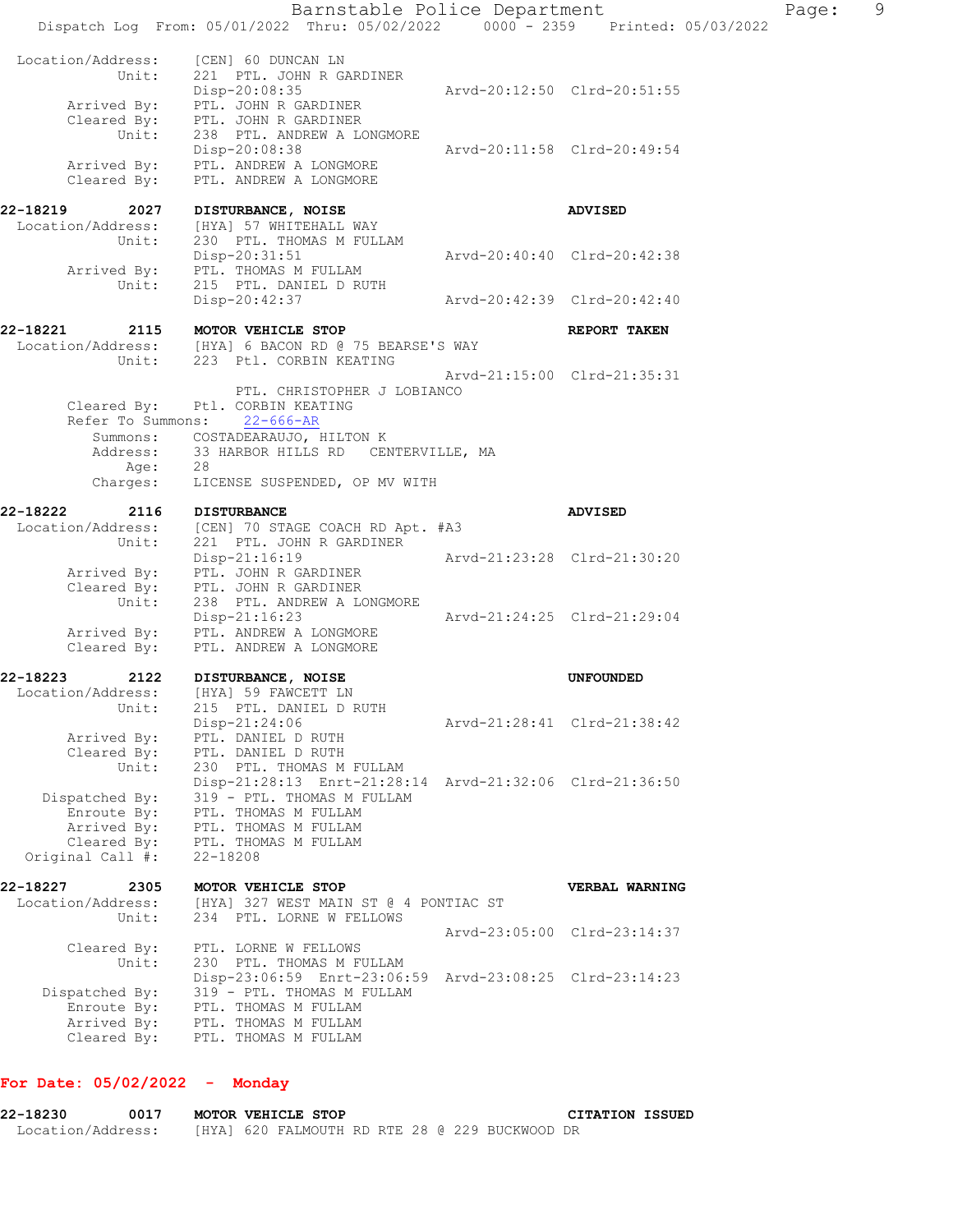| Location/Address:<br>[CEN] 60 DUNCAN LN<br>Unit:<br>221 PTL. JOHN R GARDINER<br>Disp-20:08:35<br>Arrived By:<br>PTL. JOHN R GARDINER                                                                                                                             | Arvd-20:12:50 Clrd-20:51:55 |
|------------------------------------------------------------------------------------------------------------------------------------------------------------------------------------------------------------------------------------------------------------------|-----------------------------|
| Cleared By: PTL. JOHN R GARDINER<br>Unit:<br>238 PTL. ANDREW A LONGMORE<br>Disp-20:08:38<br>PTL. ANDREW A LONGMORE<br>Arrived By:                                                                                                                                | Arvd-20:11:58 Clrd-20:49:54 |
| Cleared By:<br>PTL. ANDREW A LONGMORE                                                                                                                                                                                                                            |                             |
| 22-18219<br>2027<br>DISTURBANCE, NOISE<br>Location/Address:<br>[HYA] 57 WHITEHALL WAY<br>230 PTL. THOMAS M FULLAM<br>Unit:                                                                                                                                       | <b>ADVISED</b>              |
| $Disp-20:31:51$<br>PTL. THOMAS M FULLAM<br>Arrived By:<br>Unit:<br>215 PTL. DANIEL D RUTH                                                                                                                                                                        | Arvd-20:40:40 Clrd-20:42:38 |
| Disp-20:42:37                                                                                                                                                                                                                                                    | Arvd-20:42:39 Clrd-20:42:40 |
| 22-18221<br>2115<br>MOTOR VEHICLE STOP<br>Location/Address: [HYA] 6 BACON RD @ 75 BEARSE'S WAY<br>Unit:<br>223 Ptl. CORBIN KEATING                                                                                                                               | REPORT TAKEN                |
| PTL. CHRISTOPHER J LOBIANCO<br>Cleared By: Ptl. CORBIN KEATING<br>Refer To Summons:<br>$22 - 666 - AR$                                                                                                                                                           | Arvd-21:15:00 Clrd-21:35:31 |
| Summons: COSTADEARAUJO, HILTON K<br>Address: 33 HARBOR HILLS RD CENTERVILLE, MA<br>28<br>Age:                                                                                                                                                                    |                             |
| Charges:<br>LICENSE SUSPENDED, OP MV WITH                                                                                                                                                                                                                        |                             |
| 22-18222<br>2116<br><b>DISTURBANCE</b><br>Location/Address:<br>[CEN] 70 STAGE COACH RD Apt. #A3<br>Unit:<br>221 PTL. JOHN R GARDINER                                                                                                                             | <b>ADVISED</b>              |
| Disp-21:16:19<br>Arrived By:<br>PTL. JOHN R GARDINER<br>PTL. JOHN R GARDINER<br>Cleared By:                                                                                                                                                                      | Arvd-21:23:28 Clrd-21:30:20 |
| Unit:<br>238 PTL. ANDREW A LONGMORE<br>$Disp-21:16:23$<br>Arrived By: PTL. ANDREW A LONGMORE<br>Cleared By:<br>PTL. ANDREW A LONGMORE                                                                                                                            | Arvd-21:24:25 Clrd-21:29:04 |
| 22-18223                                                                                                                                                                                                                                                         |                             |
| 2122<br>DISTURBANCE, NOISE<br>Location/Address:<br>[HYA] 59 FAWCETT LN<br>215 PTL. DANIEL D RUTH<br>Unit:                                                                                                                                                        | <b>UNFOUNDED</b>            |
| Disp-21:24:06<br>Arrived By:<br>PTL. DANIEL D RUTH<br>Cleared By:<br>PTL. DANIEL D RUTH<br>Unit:<br>230 PTL. THOMAS M FULLAM                                                                                                                                     | Arvd-21:28:41 Clrd-21:38:42 |
| Disp-21:28:13 Enrt-21:28:14 Arvd-21:32:06 Clrd-21:36:50<br>Dispatched By:<br>319 - PTL. THOMAS M FULLAM<br>Enroute By:<br>PTL. THOMAS M FULLAM<br>Arrived By:<br>PTL. THOMAS M FULLAM<br>Cleared By:<br>PTL. THOMAS M FULLAM<br>Original Call #:<br>$22 - 18208$ |                             |
| 22-18227<br>2305<br>MOTOR VEHICLE STOP                                                                                                                                                                                                                           | VERBAL WARNING              |
| Location/Address:<br>[HYA] 327 WEST MAIN ST @ 4 PONTIAC ST<br>Unit:<br>234 PTL. LORNE W FELLOWS                                                                                                                                                                  |                             |
| Cleared By:<br>PTL. LORNE W FELLOWS<br>Unit:<br>230 PTL. THOMAS M FULLAM                                                                                                                                                                                         | Arvd-23:05:00 Clrd-23:14:37 |
| Disp-23:06:59 Enrt-23:06:59 Arvd-23:08:25 Clrd-23:14:23<br>Dispatched By:<br>319 - PTL. THOMAS M FULLAM<br>Enroute By:<br>PTL. THOMAS M FULLAM<br>Arrived By:<br>PTL. THOMAS M FULLAM<br>Cleared By:<br>PTL. THOMAS M FULLAM                                     |                             |

## **For Date: 05/02/2022 - Monday**

| 22-18230          | 0017 |  | MOTOR VEHICLE STOP                             |  |  |  | <b>CITATION ISSUED</b> |  |
|-------------------|------|--|------------------------------------------------|--|--|--|------------------------|--|
| Location/Address: |      |  | [HYA] 620 FALMOUTH RD RTE 28 @ 229 BUCKWOOD DR |  |  |  |                        |  |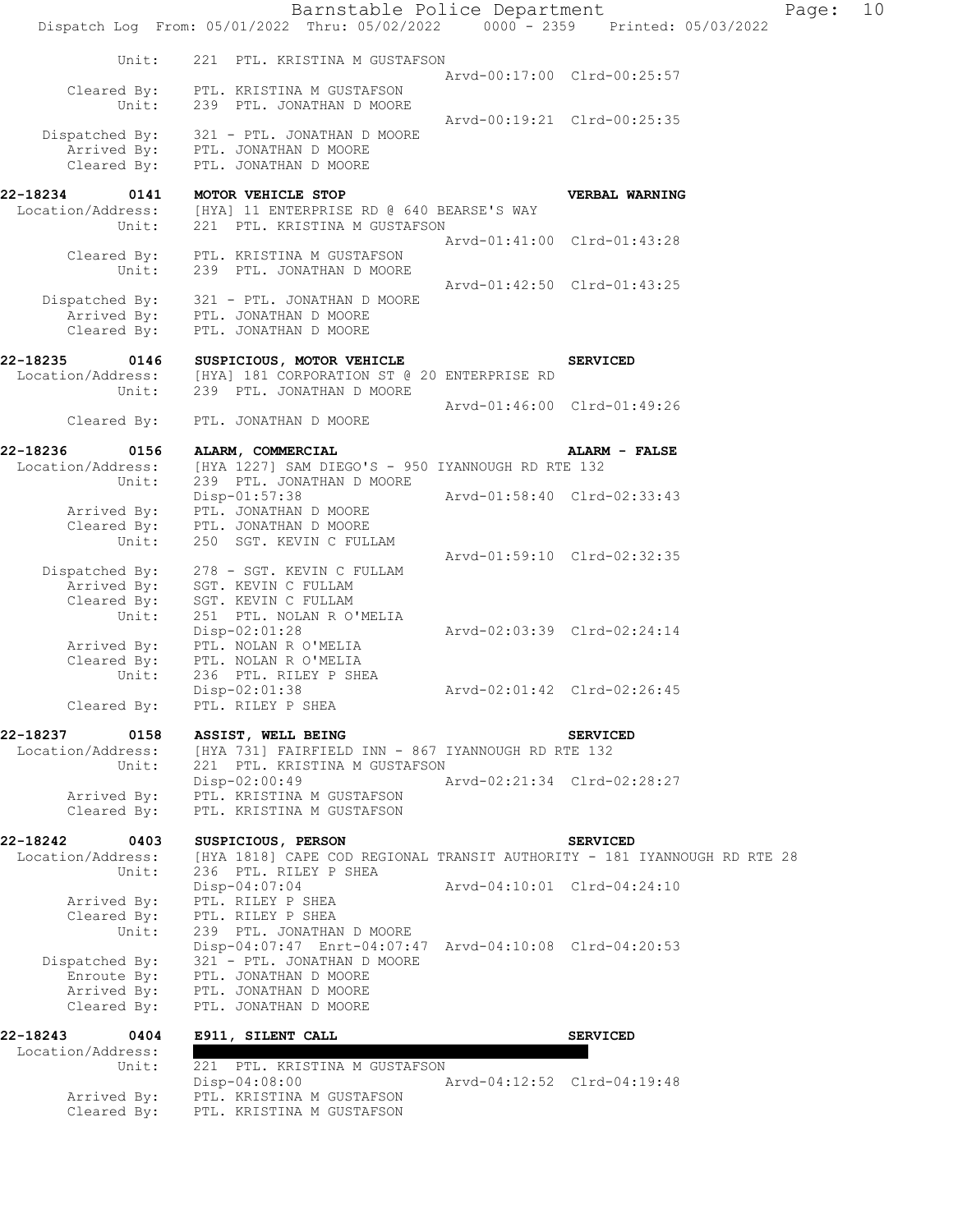|                                                             | Barnstable Police Department<br>Dispatch Log From: 05/01/2022 Thru: 05/02/2022 0000 - 2359 Printed: 05/03/2022 |                             | Page: | 10 |
|-------------------------------------------------------------|----------------------------------------------------------------------------------------------------------------|-----------------------------|-------|----|
| Unit:                                                       | 221 PTL. KRISTINA M GUSTAFSON                                                                                  | Arvd-00:17:00 Clrd-00:25:57 |       |    |
| Cleared By:<br>Unit:                                        | PTL. KRISTINA M GUSTAFSON<br>239 PTL. JONATHAN D MOORE                                                         |                             |       |    |
| Dispatched By:<br>Arrived By:<br>Cleared By:                | 321 - PTL. JONATHAN D MOORE<br>PTL. JONATHAN D MOORE<br>PTL. JONATHAN D MOORE                                  | Arvd-00:19:21 Clrd-00:25:35 |       |    |
| 22-18234<br>0141<br>Location/Address:<br>Unit:              | MOTOR VEHICLE STOP<br>[HYA] 11 ENTERPRISE RD @ 640 BEARSE'S WAY<br>221 PTL. KRISTINA M GUSTAFSON               | VERBAL WARNING              |       |    |
| Cleared By:<br>Unit:                                        | PTL. KRISTINA M GUSTAFSON<br>239 PTL. JONATHAN D MOORE                                                         | Arvd-01:41:00 Clrd-01:43:28 |       |    |
| Dispatched By:<br>Cleared By:                               | 321 - PTL. JONATHAN D MOORE<br>Arrived By: PTL. JONATHAN D MOORE<br>PTL. JONATHAN D MOORE                      | Arvd-01:42:50 Clrd-01:43:25 |       |    |
| 22-18235<br>0146<br>Location/Address:                       | SUSPICIOUS, MOTOR VEHICLE<br>[HYA] 181 CORPORATION ST @ 20 ENTERPRISE RD                                       | <b>SERVICED</b>             |       |    |
| Unit:<br>Cleared By:                                        | 239 PTL. JONATHAN D MOORE<br>PTL. JONATHAN D MOORE                                                             | Arvd-01:46:00 Clrd-01:49:26 |       |    |
| 22-18236<br>0156                                            |                                                                                                                | ALARM - FALSE               |       |    |
| Location/Address:<br>Unit:                                  | ALARM, COMMERCIAL<br>[HYA 1227] SAM DIEGO'S - 950 IYANNOUGH RD RTE 132<br>239 PTL. JONATHAN D MOORE            |                             |       |    |
| Arrived By:<br>Cleared By:                                  | Disp-01:57:38<br>PTL. JONATHAN D MOORE<br>PTL. JONATHAN D MOORE                                                | Arvd-01:58:40 Clrd-02:33:43 |       |    |
| Unit:                                                       | 250 SGT. KEVIN C FULLAM                                                                                        | Arvd-01:59:10 Clrd-02:32:35 |       |    |
| Dispatched By:<br>Arrived By:<br>Cleared By:<br>Unit:       | 278 - SGT. KEVIN C FULLAM<br>SGT. KEVIN C FULLAM<br>SGT. KEVIN C FULLAM<br>251 PTL. NOLAN R O'MELIA            |                             |       |    |
| Arrived By:<br>Cleared By:<br>Unit:                         | Disp-02:01:28<br>PTL. NOLAN R O'MELIA<br>PTL. NOLAN R O'MELIA<br>236 PTL. RILEY P SHEA                         | Arvd-02:03:39 Clrd-02:24:14 |       |    |
| Cleared By:                                                 | $Disp-02:01:38$<br>PTL. RILEY P SHEA                                                                           | Arvd-02:01:42 Clrd-02:26:45 |       |    |
| 22-18237<br>0158                                            | ASSIST, WELL BEING                                                                                             | <b>SERVICED</b>             |       |    |
| Location/Address:<br>Unit:                                  | [HYA 731] FAIRFIELD INN - 867 IYANNOUGH RD RTE 132<br>221 PTL. KRISTINA M GUSTAFSON                            |                             |       |    |
| Arrived By:<br>Cleared By:                                  | $Disp-02:00:49$<br>PTL. KRISTINA M GUSTAFSON<br>PTL. KRISTINA M GUSTAFSON                                      | Arvd-02:21:34 Clrd-02:28:27 |       |    |
| 22-18242<br>0403                                            | SUSPICIOUS, PERSON                                                                                             | <b>SERVICED</b>             |       |    |
| Location/Address:<br>Unit:                                  | [HYA 1818] CAPE COD REGIONAL TRANSIT AUTHORITY - 181 IYANNOUGH RD RTE 28<br>236 PTL. RILEY P SHEA              |                             |       |    |
| Arrived By:                                                 | Disp-04:07:04<br>PTL. RILEY P SHEA                                                                             | Arvd-04:10:01 Clrd-04:24:10 |       |    |
| Cleared By:<br>Unit:                                        | PTL. RILEY P SHEA<br>239 PTL. JONATHAN D MOORE<br>Disp-04:07:47 Enrt-04:07:47 Arvd-04:10:08 Clrd-04:20:53      |                             |       |    |
| Dispatched By:<br>Enroute By:<br>Arrived By:<br>Cleared By: | 321 - PTL. JONATHAN D MOORE<br>PTL. JONATHAN D MOORE<br>PTL. JONATHAN D MOORE<br>PTL. JONATHAN D MOORE         |                             |       |    |
| 22-18243<br>0404                                            | E911, SILENT CALL                                                                                              | <b>SERVICED</b>             |       |    |
| Location/Address:<br>Unit:                                  | 221 PTL. KRISTINA M GUSTAFSON                                                                                  |                             |       |    |
| Arrived By:                                                 | Disp-04:08:00<br>PTL. KRISTINA M GUSTAFSON                                                                     | Arvd-04:12:52 Clrd-04:19:48 |       |    |
| Cleared By:                                                 | PTL. KRISTINA M GUSTAFSON                                                                                      |                             |       |    |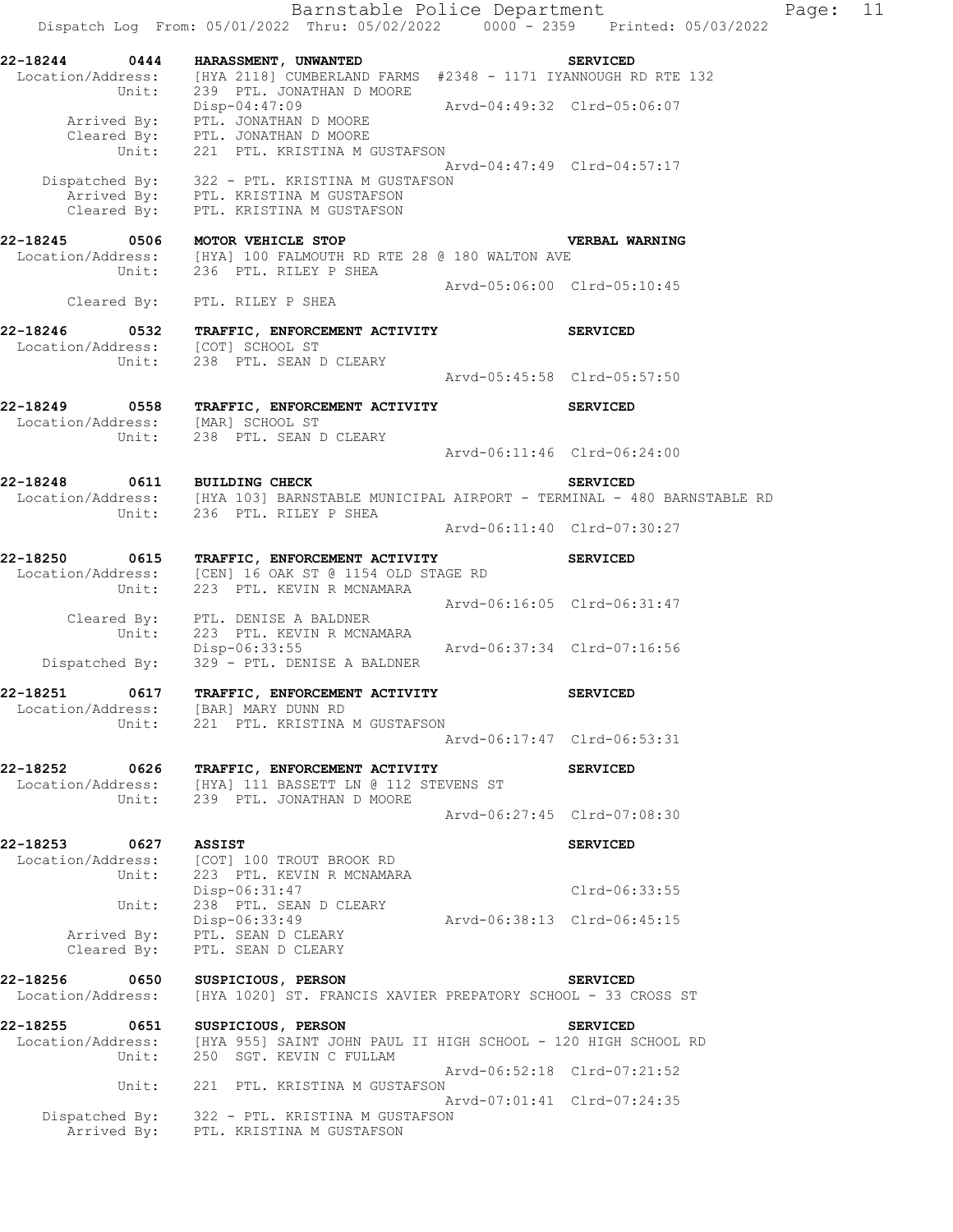Barnstable Police Department Fage: 11 Dispatch Log From: 05/01/2022 Thru: 05/02/2022 0000 - 2359 Printed: 05/03/2022 **22-18244 0444 HARASSMENT, UNWANTED SERVICED**  Location/Address: [HYA 2118] CUMBERLAND FARMS #2348 - 1171 IYANNOUGH RD RTE 132 Unit: 239 PTL. JONATHAN D MOORE Disp-04:47:09 Arvd-04:49:32 Clrd-05:06:07 Arrived By: PTL. JONATHAN D MOORE Cleared By: PTL. JONATHAN D MOORE Unit: 221 PTL. KRISTINA M GUSTAFSON Arvd-04:47:49 Clrd-04:57:17 Dispatched By: 322 - PTL. KRISTINA M GUSTAFSON Arrived By: PTL. KRISTINA M GUSTAFSON Cleared By: PTL. KRISTINA M GUSTAFSON **22-18245 0506 MOTOR VEHICLE STOP VERBAL WARNING**  Location/Address: [HYA] 100 FALMOUTH RD RTE 28 @ 180 WALTON AVE Unit: 236 PTL. RILEY P SHEA Arvd-05:06:00 Clrd-05:10:45 Cleared By: PTL. RILEY P SHEA **22-18246 0532 TRAFFIC, ENFORCEMENT ACTIVITY SERVICED**  Location/Address: [COT] SCHOOL ST Unit: 238 PTL. SEAN D CLEARY Arvd-05:45:58 Clrd-05:57:50 **22-18249 0558 TRAFFIC, ENFORCEMENT ACTIVITY SERVICED**  Location/Address: [MAR] SCHOOL ST Unit: 238 PTL. SEAN D CLEARY Arvd-06:11:46 Clrd-06:24:00 **22-18248 0611 BUILDING CHECK SERVICED**  Location/Address: [HYA 103] BARNSTABLE MUNICIPAL AIRPORT - TERMINAL - 480 BARNSTABLE RD Unit: 236 PTL. RILEY P SHEA Arvd-06:11:40 Clrd-07:30:27 **22-18250 0615 TRAFFIC, ENFORCEMENT ACTIVITY SERVICED**  Location/Address: [CEN] 16 OAK ST @ 1154 OLD STAGE RD Unit: 223 PTL. KEVIN R MCNAMARA Arvd-06:16:05 Clrd-06:31:47 Cleared By: PTL. DENISE A BALDNER Unit: 223 PTL. KEVIN R MCNAMARA Disp-06:33:55 Arvd-06:37:34 Clrd-07:16:56 Dispatched By: 329 - PTL. DENISE A BALDNER **22-18251 0617 TRAFFIC, ENFORCEMENT ACTIVITY SERVICED**  Location/Address: [BAR] MARY DUNN RD Unit: 221 PTL. KRISTINA M GUSTAFSON Arvd-06:17:47 Clrd-06:53:31 **22-18252 0626 TRAFFIC, ENFORCEMENT ACTIVITY SERVICED**  Location/Address: [HYA] 111 BASSETT LN @ 112 STEVENS ST Unit: 239 PTL. JONATHAN D MOORE Arvd-06:27:45 Clrd-07:08:30 **22-18253 0627 ASSIST SERVICED**  Location/Address: [COT] 100 TROUT BROOK RD Unit: 223 PTL. KEVIN R MCNAMARA Disp-06:31:47 Clrd-06:33:55 Unit: 238 PTL. SEAN D CLEARY Disp-06:33:49<br>PTL. SEAN D CLEARY<br>PTL. SEAN D CLEARY Arrived By: PTL. SEAN D CLEARY Cleared By: PTL. SEAN D CLEARY **22-18256 0650 SUSPICIOUS, PERSON SERVICED**  Location/Address: [HYA 1020] ST. FRANCIS XAVIER PREPATORY SCHOOL - 33 CROSS ST **22-18255 0651 SUSPICIOUS, PERSON SERVICED**  Location/Address: [HYA 955] SAINT JOHN PAUL II HIGH SCHOOL - 120 HIGH SCHOOL RD Unit: 250 SGT. KEVIN C FULLAM Arvd-06:52:18 Clrd-07:21:52 Unit: 221 PTL. KRISTINA M GUSTAFSON Arvd-07:01:41 Clrd-07:24:35 Dispatched By: 322 - PTL. KRISTINA M GUSTAFSON Arrived By: PTL. KRISTINA M GUSTAFSON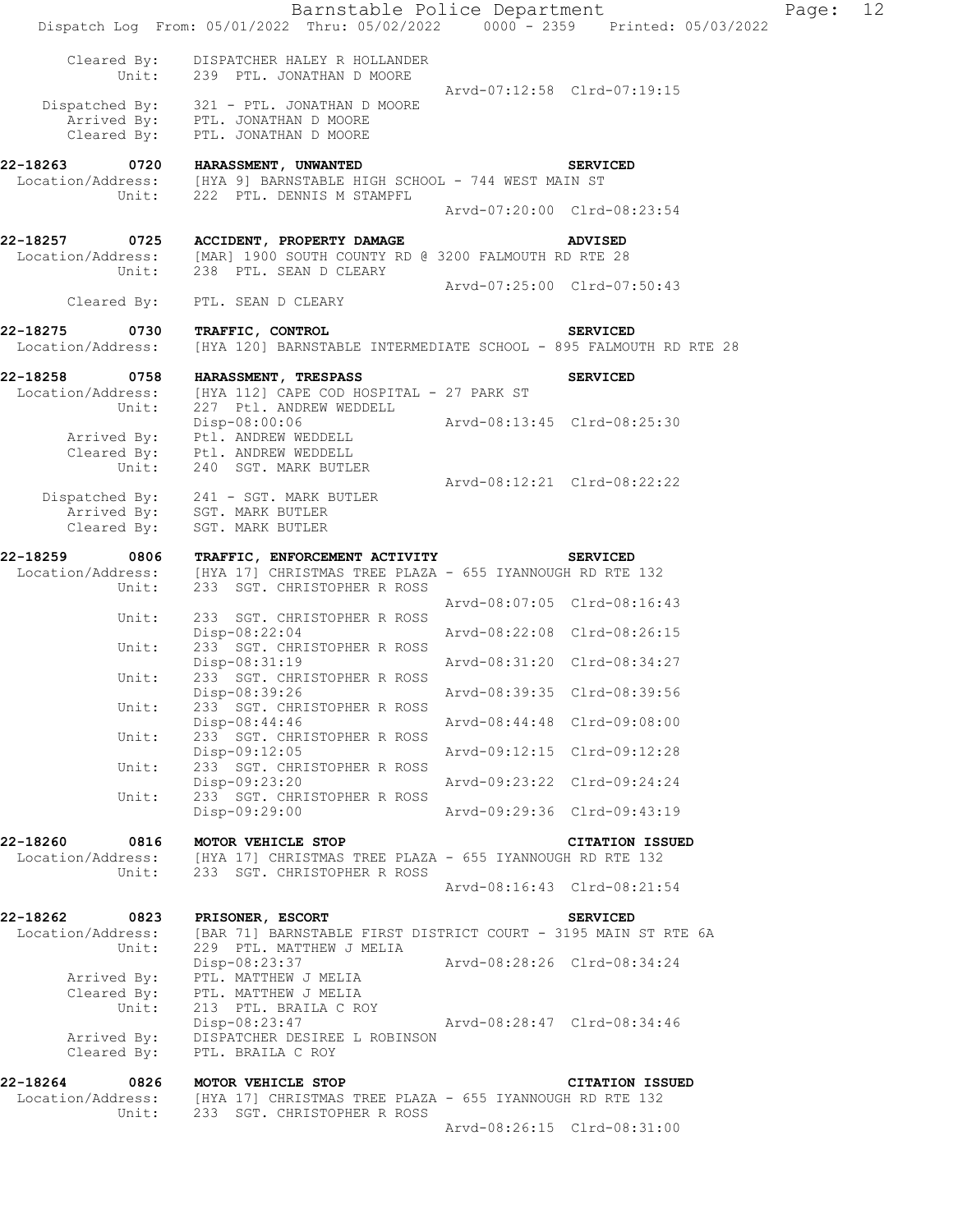|                                                | Barnstable Police Department<br>Dispatch Log From: 05/01/2022 Thru: 05/02/2022 0000 - 2359 Printed: 05/03/2022                              |                             |                             | Page: | 12 |
|------------------------------------------------|---------------------------------------------------------------------------------------------------------------------------------------------|-----------------------------|-----------------------------|-------|----|
|                                                | Cleared By: DISPATCHER HALEY R HOLLANDER<br>Unit: 239 PTL. JONATHAN D MOORE                                                                 | Arvd-07:12:58 Clrd-07:19:15 |                             |       |    |
| Cleared By:                                    | Dispatched By: 321 - PTL. JONATHAN D MOORE<br>Arrived By: PTL. JONATHAN D MOORE<br>PTL. JONATHAN D MOORE                                    |                             |                             |       |    |
| 22-18263<br>Unit:                              | 0720 HARASSMENT, UNWANTED<br>Location/Address: [HYA 9] BARNSTABLE HIGH SCHOOL - 744 WEST MAIN ST<br>222 PTL. DENNIS M STAMPFL               |                             | <b>SERVICED</b>             |       |    |
|                                                |                                                                                                                                             | Arvd-07:20:00 Clrd-08:23:54 |                             |       |    |
| Unit:                                          | 22-18257 0725 ACCIDENT, PROPERTY DAMAGE<br>Location/Address: [MAR] 1900 SOUTH COUNTY RD @ 3200 FALMOUTH RD RTE 28<br>238 PTL. SEAN D CLEARY |                             | <b>ADVISED</b>              |       |    |
| Cleared By:                                    | PTL. SEAN D CLEARY                                                                                                                          | Arvd-07:25:00 Clrd-07:50:43 |                             |       |    |
| 22-18275<br>0730                               |                                                                                                                                             |                             |                             |       |    |
| Location/Address:                              | TRAFFIC, CONTROL<br>[HYA 120] BARNSTABLE INTERMEDIATE SCHOOL - 895 FALMOUTH RD RTE 28                                                       |                             | <b>SERVICED</b>             |       |    |
|                                                | 22-18258 0758 HARASSMENT, TRESPASS                                                                                                          |                             | <b>SERVICED</b>             |       |    |
| Unit:                                          | Location/Address: [HYA 112] CAPE COD HOSPITAL - 27 PARK ST<br>227 Ptl. ANDREW WEDDELL                                                       |                             |                             |       |    |
| Arrived By:                                    | Disp-08:00:06<br>Ptl. ANDREW WEDDELL<br>Cleared By: Ptl. ANDREW WEDDELL                                                                     | Arvd-08:13:45 Clrd-08:25:30 |                             |       |    |
| Unit:                                          | 240 SGT. MARK BUTLER                                                                                                                        | Arvd-08:12:21 Clrd-08:22:22 |                             |       |    |
| Cleared By:                                    | Dispatched By: 241 - SGT. MARK BUTLER<br>Arrived By: SGT. MARK BUTLER<br>SGT. MARK BUTLER                                                   |                             |                             |       |    |
| 22-18259<br>0806                               | TRAFFIC, ENFORCEMENT ACTIVITY                                                                                                               |                             | <b>SERVICED</b>             |       |    |
| Location/Address:<br>Unit:                     | [HYA 17] CHRISTMAS TREE PLAZA - 655 IYANNOUGH RD RTE 132<br>233 SGT. CHRISTOPHER R ROSS                                                     |                             |                             |       |    |
| Unit:                                          | 233 SGT. CHRISTOPHER R ROSS                                                                                                                 |                             | Arvd-08:07:05 Clrd-08:16:43 |       |    |
|                                                | Disp-08:22:04                                                                                                                               | Arvd-08:22:08 Clrd-08:26:15 |                             |       |    |
| Unit:                                          | 233 SGT. CHRISTOPHER R ROSS<br>Disp-08:31:19                                                                                                | Arvd-08:31:20 Clrd-08:34:27 |                             |       |    |
| Unit:                                          | 233 SGT. CHRISTOPHER R ROSS<br>Disp-08:39:26                                                                                                |                             | Arvd-08:39:35 Clrd-08:39:56 |       |    |
| Unit:                                          | 233 SGT. CHRISTOPHER R ROSS<br>$Disp-08:44:46$                                                                                              |                             | Arvd-08:44:48 Clrd-09:08:00 |       |    |
| Unit:                                          | 233 SGT. CHRISTOPHER R ROSS                                                                                                                 |                             |                             |       |    |
| Unit:                                          | $Disp-09:12:05$<br>233 SGT. CHRISTOPHER R ROSS                                                                                              |                             | Arvd-09:12:15 Clrd-09:12:28 |       |    |
| Unit:                                          | Disp-09:23:20<br>233 SGT. CHRISTOPHER R ROSS                                                                                                | Arvd-09:23:22 Clrd-09:24:24 |                             |       |    |
|                                                | Disp-09:29:00                                                                                                                               |                             | Arvd-09:29:36 Clrd-09:43:19 |       |    |
| 22-18260<br>0816<br>Location/Address:<br>Unit: | MOTOR VEHICLE STOP<br>[HYA 17] CHRISTMAS TREE PLAZA - 655 IYANNOUGH RD RTE 132<br>233 SGT. CHRISTOPHER R ROSS                               |                             | <b>CITATION ISSUED</b>      |       |    |
|                                                |                                                                                                                                             |                             | Arvd-08:16:43 Clrd-08:21:54 |       |    |
| 22-18262<br>0823<br>Location/Address:          | <b>PRISONER, ESCORT</b><br>[BAR 71] BARNSTABLE FIRST DISTRICT COURT - 3195 MAIN ST RTE 6A                                                   |                             | <b>SERVICED</b>             |       |    |
| Unit:                                          | 229 PTL. MATTHEW J MELIA<br>Disp-08:23:37                                                                                                   | Arvd-08:28:26 Clrd-08:34:24 |                             |       |    |
| Arrived By:<br>Cleared By:<br>Unit:            | PTL. MATTHEW J MELIA<br>PTL. MATTHEW J MELIA<br>213 PTL. BRAILA C ROY                                                                       |                             |                             |       |    |
| Arrived By:<br>Cleared By:                     | Disp-08:23:47 Arvd-08:28:47 Clrd-08:34:46<br>DISPATCHER DESIREE L ROBINSON<br>PTL. BRAILA C ROY                                             |                             |                             |       |    |
| 22-18264<br>0826                               | MOTOR VEHICLE STOP                                                                                                                          |                             | <b>CITATION ISSUED</b>      |       |    |
| Unit:                                          | Location/Address: [HYA 17] CHRISTMAS TREE PLAZA - 655 IYANNOUGH RD RTE 132<br>233 SGT. CHRISTOPHER R ROSS                                   |                             | Arvd-08:26:15 Clrd-08:31:00 |       |    |
|                                                |                                                                                                                                             |                             |                             |       |    |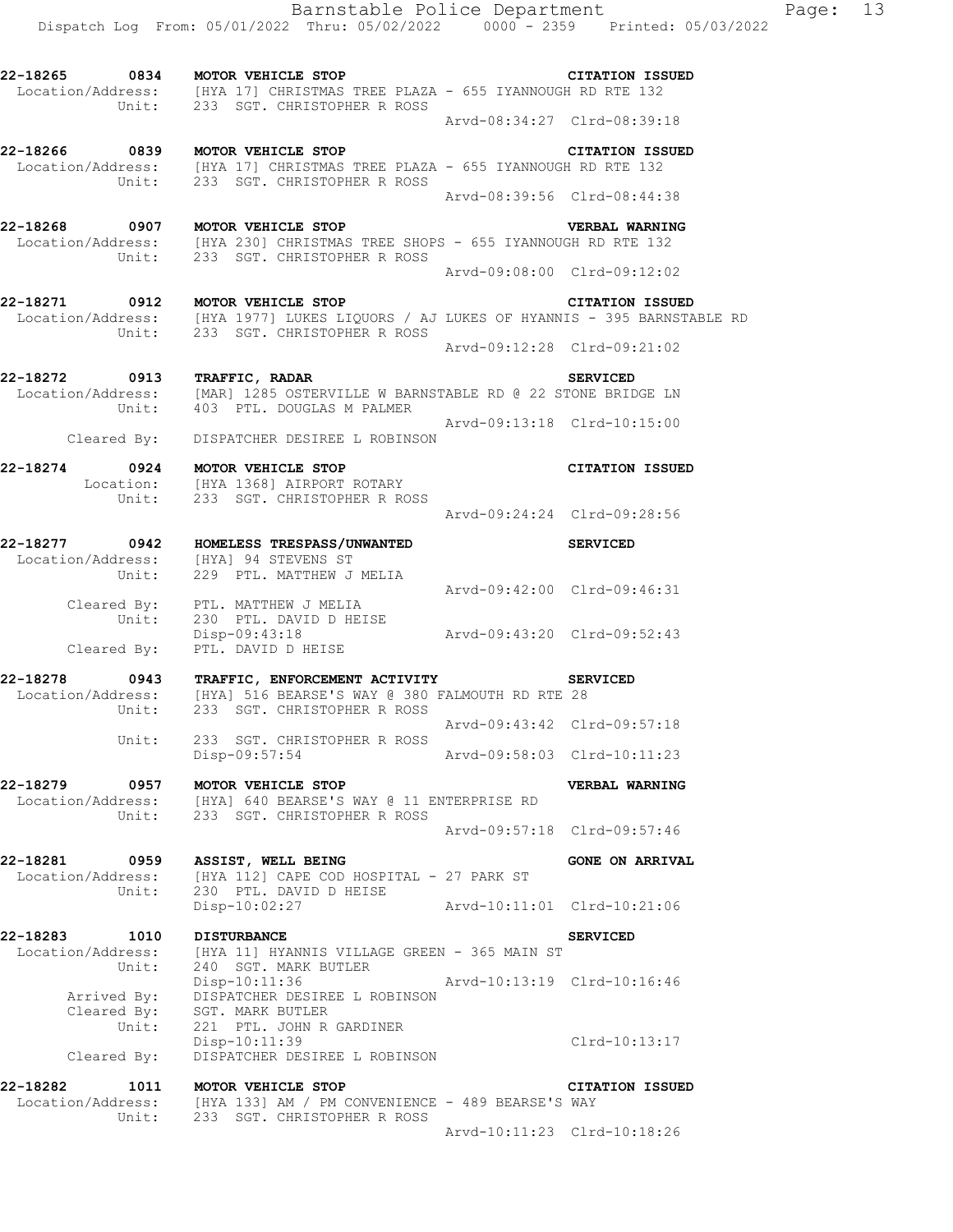Arvd-08:34:27 Clrd-08:39:18

**22-18266 0839 MOTOR VEHICLE STOP CITATION ISSUED**  Location/Address: [HYA 17] CHRISTMAS TREE PLAZA - 655 IYANNOUGH RD RTE 132 Unit: 233 SGT. CHRISTOPHER R ROSS Arvd-08:39:56 Clrd-08:44:38

**22-18268 0907 MOTOR VEHICLE STOP VERBAL WARNING**  Location/Address: [HYA 230] CHRISTMAS TREE SHOPS - 655 IYANNOUGH RD RTE 132 Unit: 233 SGT. CHRISTOPHER R ROSS Arvd-09:08:00 Clrd-09:12:02

**22-18271 0912 MOTOR VEHICLE STOP CITATION ISSUED**  Location/Address: [HYA 1977] LUKES LIQUORS / AJ LUKES OF HYANNIS - 395 BARNSTABLE RD Unit: 233 SGT. CHRISTOPHER R ROSS Arvd-09:12:28 Clrd-09:21:02

**22-18272 0913 TRAFFIC, RADAR SERVICED**  [MAR] 1285 OSTERVILLE W BARNSTABLE RD @ 22 STONE BRIDGE LN<br>403 PTL. DOUGLAS M PALMER Unit: 403 PTL. DOUGLAS M PALMER Arvd-09:13:18 Clrd-10:15:00

Cleared By: DISPATCHER DESIREE L ROBINSON

Unit: 233 SGT. CHRISTOPHER R ROSS

**22-18274 0924 MOTOR VEHICLE STOP CITATION ISSUED**  Location: [HYA 1368] AIRPORT ROTARY Unit: 233 SGT. CHRISTOPHER R ROSS Arvd-09:24:24 Clrd-09:28:56

**22-18277 0942 HOMELESS TRESPASS/UNWANTED SERVICED**  Location/Address: [HYA] 94 STEVENS ST Unit: 229 PTL. MATTHEW J MELIA Arvd-09:42:00 Clrd-09:46:31 Cleared By: PTL. MATTHEW J MELIA Unit: 230 PTL. DAVID D HEISE Disp-09:43:18 Arvd-09:43:20 Clrd-09:52:43 Cleared By: PTL. DAVID D HEISE

**22-18278 0943 TRAFFIC, ENFORCEMENT ACTIVITY SERVICED**  Location/Address: [HYA] 516 BEARSE'S WAY @ 380 FALMOUTH RD RTE 28 Unit: 233 SGT. CHRISTOPHER R ROSS Arvd-09:43:42 Clrd-09:57:18<br>Unit: 233 SGT. CHRISTOPHER R ROSS 233 SGT. CHRISTOPHER R ROSS Disp-09:57:54 Arvd-09:58:03 Clrd-10:11:23

**22-18279 0957 MOTOR VEHICLE STOP VERBAL WARNING**  Location/Address: [HYA] 640 BEARSE'S WAY @ 11 ENTERPRISE RD Unit: 233 SGT. CHRISTOPHER R ROSS Arvd-09:57:18 Clrd-09:57:46

**22-18281 0959 ASSIST, WELL BEING GONE ON ARRIVAL**  Location/Address: [HYA 112] CAPE COD HOSPITAL - 27 PARK ST Unit: 230 PTL. DAVID D HEISE Disp-10:02:27 Arvd-10:11:01 Clrd-10:21:06

**22-18283 1010 DISTURBANCE SERVICED**  Location/Address: [HYA 11] HYANNIS VILLAGE GREEN - 365 MAIN ST Unit: 240 SGT. MARK BUTLER Disp-10:11:36 Arvd-10:13:19 Clrd-10:16:46 Arrived By: DISPATCHER DESIREE L ROBINSON Cleared By: SGT. MARK BUTLER Unit: 221 PTL. JOHN R GARDINER Disp-10:11:39 Clrd-10:13:17 Cleared By: DISPATCHER DESIREE L ROBINSON

**22-18282 1011 MOTOR VEHICLE STOP CITATION ISSUED**  Location/Address: [HYA 133] AM / PM CONVENIENCE - 489 BEARSE'S WAY Unit: 233 SGT. CHRISTOPHER R ROSS Arvd-10:11:23 Clrd-10:18:26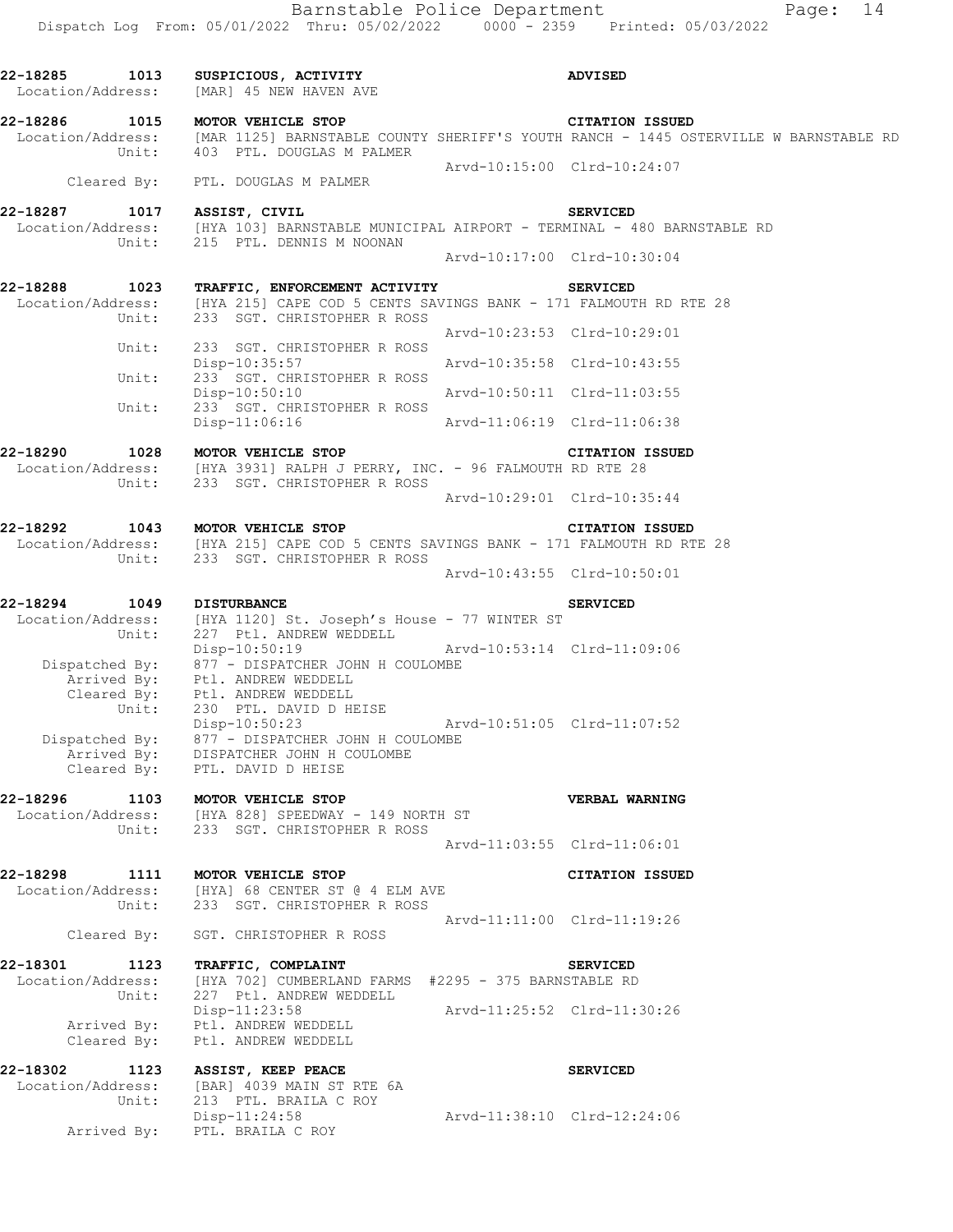| 22-18285 1013<br>Location/Address: | SUSPICIOUS, ACTIVITY<br>[MAR] 45 NEW HAVEN AVE                                                                                            |                             | <b>ADVISED</b>                                                                                                                   |
|------------------------------------|-------------------------------------------------------------------------------------------------------------------------------------------|-----------------------------|----------------------------------------------------------------------------------------------------------------------------------|
| 22-18286<br>1015<br>Unit:          | MOTOR VEHICLE STOP<br>403 PTL. DOUGLAS M PALMER                                                                                           |                             | <b>CITATION ISSUED</b><br>Location/Address: [MAR 1125] BARNSTABLE COUNTY SHERIFF'S YOUTH RANCH - 1445 OSTERVILLE W BARNSTABLE RD |
| Cleared By:                        | PTL. DOUGLAS M PALMER                                                                                                                     | Arvd-10:15:00 Clrd-10:24:07 |                                                                                                                                  |
|                                    |                                                                                                                                           |                             |                                                                                                                                  |
| 22-18287<br>Unit:                  | 1017 ASSIST, CIVIL<br>Location/Address: [HYA 103] BARNSTABLE MUNICIPAL AIRPORT - TERMINAL - 480 BARNSTABLE RD<br>215 PTL. DENNIS M NOONAN |                             | <b>SERVICED</b>                                                                                                                  |
|                                    |                                                                                                                                           | Arvd-10:17:00 Clrd-10:30:04 |                                                                                                                                  |
| 22-18288<br>1023                   | <b>TRAFFIC, ENFORCEMENT ACTIVITY</b><br>Location/Address: [HYA 215] CAPE COD 5 CENTS SAVINGS BANK - 171 FALMOUTH RD RTE 28                |                             | <b>SERVICED</b>                                                                                                                  |
| Unit:                              | 233 SGT. CHRISTOPHER R ROSS                                                                                                               | Arvd-10:23:53 Clrd-10:29:01 |                                                                                                                                  |
| Unit:                              | 233 SGT. CHRISTOPHER R ROSS<br>Disp-10:35:57                                                                                              | Arvd-10:35:58 Clrd-10:43:55 |                                                                                                                                  |
| Unit:                              | 233 SGT. CHRISTOPHER R ROSS<br>$Disp-10:50:10$                                                                                            | Arvd-10:50:11 Clrd-11:03:55 |                                                                                                                                  |
| Unit:                              | 233 SGT. CHRISTOPHER R ROSS<br>Disp-11:06:16                                                                                              | Arvd-11:06:19 Clrd-11:06:38 |                                                                                                                                  |
|                                    |                                                                                                                                           |                             |                                                                                                                                  |
| 22-18290<br>Unit:                  | 1028 MOTOR VEHICLE STOP<br>Location/Address: [HYA 3931] RALPH J PERRY, INC. - 96 FALMOUTH RD RTE 28<br>233 SGT. CHRISTOPHER R ROSS        |                             | <b>CITATION ISSUED</b>                                                                                                           |
|                                    |                                                                                                                                           | Arvd-10:29:01 Clrd-10:35:44 |                                                                                                                                  |
| 22-18292                           | 1043 MOTOR VEHICLE STOP                                                                                                                   |                             | <b>CITATION ISSUED</b>                                                                                                           |
| Unit:                              | Location/Address: [HYA 215] CAPE COD 5 CENTS SAVINGS BANK - 171 FALMOUTH RD RTE 28<br>233 SGT. CHRISTOPHER R ROSS                         |                             |                                                                                                                                  |
|                                    |                                                                                                                                           | Arvd-10:43:55 Clrd-10:50:01 |                                                                                                                                  |
| 22-18294<br>1049                   | <b>DISTURBANCE</b>                                                                                                                        |                             | <b>SERVICED</b>                                                                                                                  |
| Location/Address:<br>Unit:         | [HYA 1120] St. Joseph's House - 77 WINTER ST<br>227 Ptl. ANDREW WEDDELL                                                                   |                             |                                                                                                                                  |
| Dispatched By:                     | $Disp-10:50:19$<br>877 - DISPATCHER JOHN H COULOMBE                                                                                       | Arvd-10:53:14 Clrd-11:09:06 |                                                                                                                                  |
|                                    | Arrived By: Ptl. ANDREW WEDDELL<br>Cleared By: Ptl. ANDREW WEDDELL<br>Ptl. ANDREW WEDDELL                                                 |                             |                                                                                                                                  |
| Unit:                              | 230 PTL. DAVID D HEISE                                                                                                                    |                             |                                                                                                                                  |
| Dispatched By:                     | Disp-10:50:23<br>877 - DISPATCHER JOHN H COULOMBE                                                                                         | Arvd-10:51:05 Clrd-11:07:52 |                                                                                                                                  |
|                                    | Arrived By: DISPATCHER JOHN H COULOMBE<br>Cleared By: PTL. DAVID D HEISE                                                                  |                             |                                                                                                                                  |
| 22-18296 1103 MOTOR VEHICLE STOP   |                                                                                                                                           |                             | <b>VERBAL WARNING</b>                                                                                                            |
|                                    | Location/Address: [HYA 828] SPEEDWAY - 149 NORTH ST<br>Unit: 233 SGT. CHRISTOPHER R ROSS                                                  |                             |                                                                                                                                  |
|                                    |                                                                                                                                           | Arvd-11:03:55 Clrd-11:06:01 |                                                                                                                                  |
|                                    | 22-18298 1111 MOTOR VEHICLE STOP                                                                                                          |                             | <b>CITATION ISSUED</b>                                                                                                           |
|                                    | Location/Address: [HYA] 68 CENTER ST @ 4 ELM AVE<br>Unit: 233 SGT. CHRISTOPHER R ROSS                                                     |                             |                                                                                                                                  |
|                                    | Cleared By: SGT. CHRISTOPHER R ROSS                                                                                                       | Arvd-11:11:00 Clrd-11:19:26 |                                                                                                                                  |
| 22-18301 1123 TRAFFIC, COMPLAINT   |                                                                                                                                           |                             | <b>SERVICED</b>                                                                                                                  |
| Location/Address:<br>Unit:         | [HYA 702] CUMBERLAND FARMS #2295 - 375 BARNSTABLE RD<br>227 Ptl. ANDREW WEDDELL                                                           |                             |                                                                                                                                  |
| Arrived By:                        | Disp-11:23:58<br>Ptl. ANDREW WEDDELL                                                                                                      | Arvd-11:25:52 Clrd-11:30:26 |                                                                                                                                  |
| Cleared By:                        | Ptl. ANDREW WEDDELL                                                                                                                       |                             |                                                                                                                                  |
| Location/Address:                  | 22-18302 1123 ASSIST, KEEP PEACE<br>[BAR] 4039 MAIN ST RTE 6A                                                                             |                             | <b>SERVICED</b>                                                                                                                  |
| Unit:                              | 213 PTL. BRAILA C ROY                                                                                                                     |                             |                                                                                                                                  |
|                                    | Disp-11:24:58<br>Arrived By: PTL. BRAILA C ROY                                                                                            | Arvd-11:38:10 Clrd-12:24:06 |                                                                                                                                  |
|                                    |                                                                                                                                           |                             |                                                                                                                                  |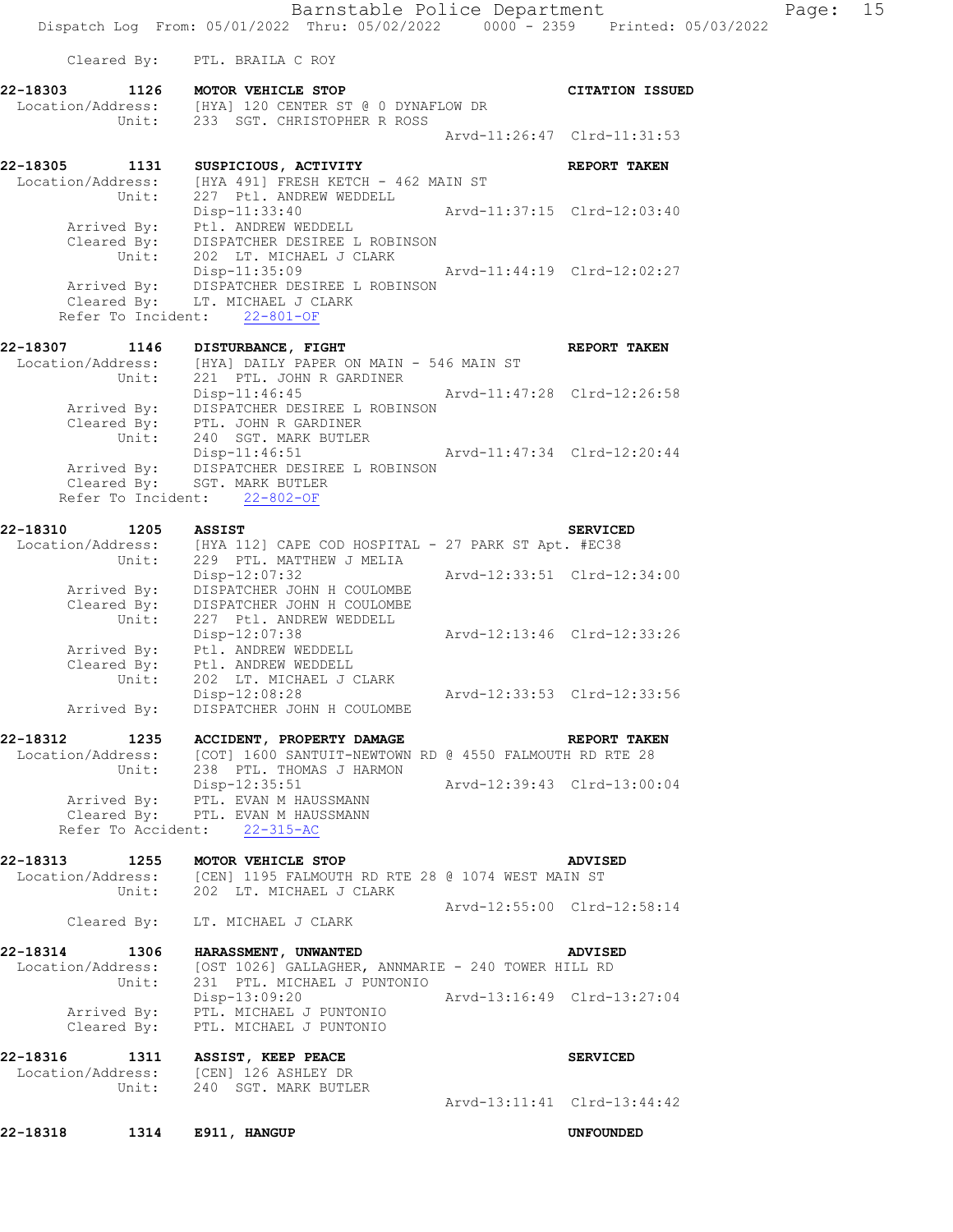Barnstable Police Department Page: 15 Dispatch Log From: 05/01/2022 Thru: 05/02/2022 0000 - 2359 Printed: 05/03/2022 Cleared By: PTL. BRAILA C ROY **22-18303 1126 MOTOR VEHICLE STOP CITATION ISSUED**  Location/Address: [HYA] 120 CENTER ST @ 0 DYNAFLOW DR Unit: 233 SGT. CHRISTOPHER R ROSS Arvd-11:26:47 Clrd-11:31:53 **22-18305 1131 SUSPICIOUS, ACTIVITY REPORT TAKEN**  Location/Address: [HYA 491] FRESH KETCH - 462 MAIN ST Unit: 227 Ptl. ANDREW WEDDELL Disp-11:33:40 Arvd-11:37:15 Clrd-12:03:40 Arrived By: Ptl. ANDREW WEDDELL Cleared By: DISPATCHER DESIREE L ROBINSON Unit: 202 LT. MICHAEL J CLARK Disp-11:35:09 Arvd-11:44:19 Clrd-12:02:27 Arrived By: DISPATCHER DESIREE L ROBINSON Cleared By: LT. MICHAEL J CLARK Refer To Incident: 22-801-OF **22-18307** 1146 DISTURBANCE, FIGHT **REPORT TAKEN** Location/Address: [HYA] DAILY PAPER ON MAIN - 546 MAIN ST Unit: 221 PTL. JOHN R GARDINER Disp-11:46:45 Arvd-11:47:28 Clrd-12:26:58 Arrived By: DISPATCHER DESIREE L ROBINSON Cleared By: PTL. JOHN R GARDINER Unit: 240 SGT. MARK BUTLER<br>Disp-11:46:51 Arvd-11:47:34 Clrd-12:20:44 Arrived By: DISPATCHER DESIREE L ROBINSON Cleared By: SGT. MARK BUTLER Refer To Incident: 22-802-OF **22-18310 1205 ASSIST SERVICED**  Location/Address: [HYA 112] CAPE COD HOSPITAL - 27 PARK ST Apt. #EC38 Unit: 229 PTL. MATTHEW J MELIA Disp-12:07:32 Arvd-12:33:51 Clrd-12:34:00 Arrived By: DISPATCHER JOHN H COULOMBE Cleared By: DISPATCHER JOHN H COULOMBE Unit: 227 Ptl. ANDREW WEDDELL Disp-12:07:38 Arvd-12:13:46 Clrd-12:33:26 Arrived By: Ptl. ANDREW WEDDELL Cleared By: Ptl. ANDREW WEDDELL Unit: 202 LT. MICHAEL J CLARK Disp-12:08:28 Arvd-12:33:53 Clrd-12:33:56 Arrived By: DISPATCHER JOHN H COULOMBE **22-18312 1235 ACCIDENT, PROPERTY DAMAGE REPORT TAKEN**  Location/Address: [COT] 1600 SANTUIT-NEWTOWN RD @ 4550 FALMOUTH RD RTE 28 Unit: 238 PTL. THOMAS J HARMON Disp-12:35:51 Arvd-12:39:43 Clrd-13:00:04 Arrived By: PTL. EVAN M HAUSSMANN Cleared By: PTL. EVAN M HAUSSMANN Refer To Accident: 22-315-AC **22-18313 1255 MOTOR VEHICLE STOP ADVISED**  Location/Address: [CEN] 1195 FALMOUTH RD RTE 28 @ 1074 WEST MAIN ST Unit: 202 LT. MICHAEL J CLARK Arvd-12:55:00 Clrd-12:58:14 Cleared By: LT. MICHAEL J CLARK **22-18314 1306 HARASSMENT, UNWANTED ADVISED**  Location/Address: [OST 1026] GALLAGHER, ANNMARIE - 240 TOWER HILL RD Unit: 231 PTL. MICHAEL J PUNTONIO Disp-13:09:20 Arvd-13:16:49 Clrd-13:27:04 Arrived By: PTL. MICHAEL J PUNTONIO Cleared By: PTL. MICHAEL J PUNTONIO **22-18316 1311 ASSIST, KEEP PEACE SERVICED**  Location/Address: [CEN] 126 ASHLEY DR Unit: 240 SGT. MARK BUTLER Arvd-13:11:41 Clrd-13:44:42 **22-18318 1314 E911, HANGUP UNFOUNDED**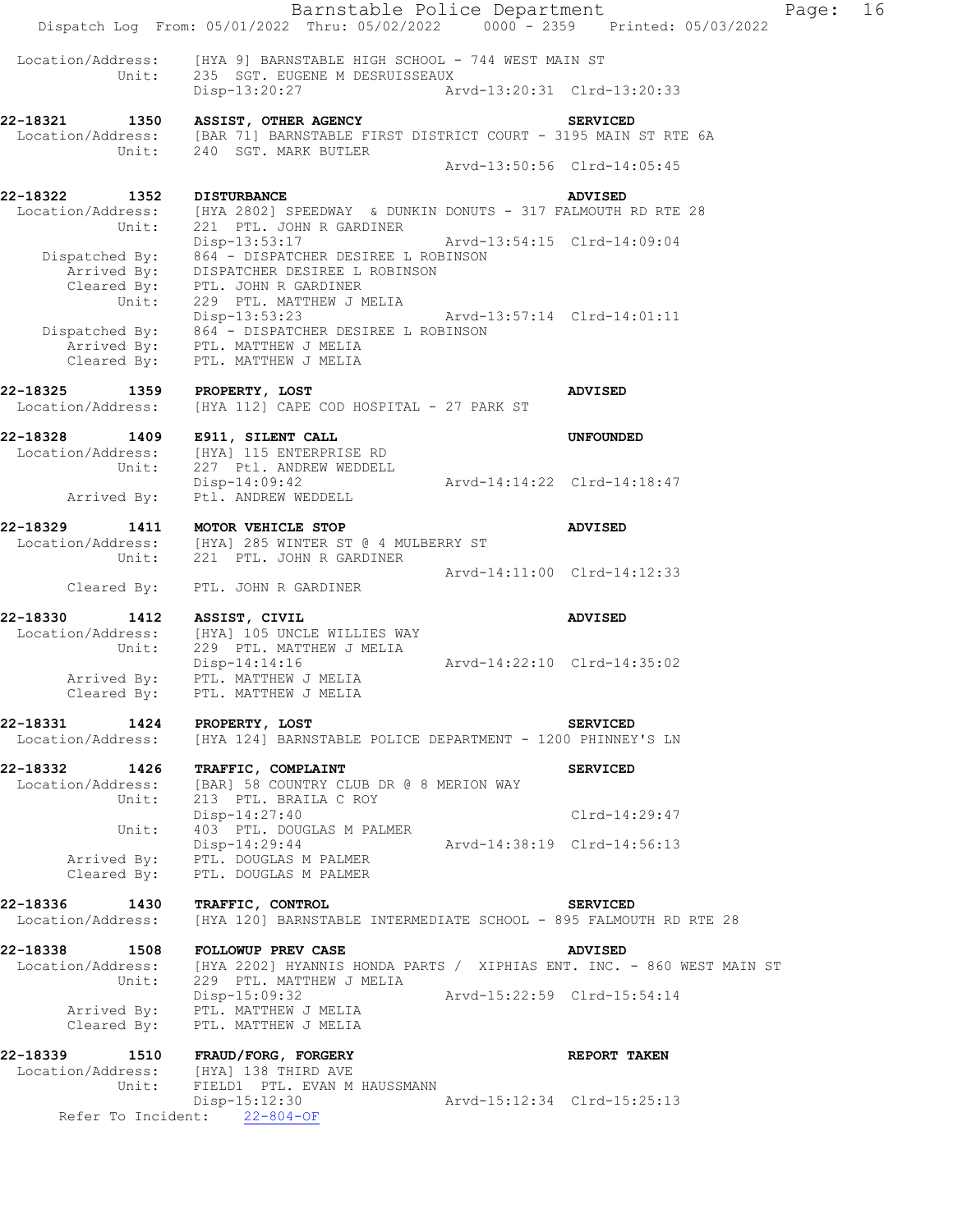Barnstable Police Department Fage: 16 Dispatch Log From: 05/01/2022 Thru: 05/02/2022 0000 - 2359 Printed: 05/03/2022 Location/Address: [HYA 9] BARNSTABLE HIGH SCHOOL - 744 WEST MAIN ST<br>Unit: 235 SGT. EUGENE M DESRUISSEAUX 235 SGT. EUGENE M DESRUISSEAUX Disp-13:20:27 Arvd-13:20:31 Clrd-13:20:33 **22-18321 1350 ASSIST, OTHER AGENCY SERVICED**  Location/Address: [BAR 71] BARNSTABLE FIRST DISTRICT COURT - 3195 MAIN ST RTE 6A Unit: 240 SGT. MARK BUTLER Arvd-13:50:56 Clrd-14:05:45 **22-18322 1352 DISTURBANCE ADVISED**  Location/Address: [HYA 2802] SPEEDWAY & DUNKIN DONUTS - 317 FALMOUTH RD RTE 28 Unit: 221 PTL. JOHN R GARDINER Disp-13:53:17 Arvd-13:54:15 Clrd-14:09:04 Dispatched By: 864 - DISPATCHER DESIREE L ROBINSON Arrived By: DISPATCHER DESIREE L ROBINSON Cleared By: PTL. JOHN R GARDINER Unit: 229 PTL. MATTHEW J MELIA Disp-13:53:23 Arvd-13:57:14 Clrd-14:01:11 Dispatched By: 864 - DISPATCHER DESIREE L ROBINSON Arrived By: PTL. MATTHEW J MELIA Cleared By: PTL. MATTHEW J MELIA **22-18325 1359 PROPERTY, LOST ADVISED**  Location/Address: [HYA 112] CAPE COD HOSPITAL - 27 PARK ST **22-18328 1409 E911, SILENT CALL UNFOUNDED**  Location/Address: [HYA] 115 ENTERPRISE RD Unit: 227 Ptl. ANDREW WEDDELL Disp-14:09:42 Arvd-14:14:22 Clrd-14:18:47 Arrived By: Ptl. ANDREW WEDDELL **22-18329 1411 MOTOR VEHICLE STOP ADVISED**  Location/Address: [HYA] 285 WINTER ST @ 4 MULBERRY ST Unit: 221 PTL. JOHN R GARDINER Arvd-14:11:00 Clrd-14:12:33 Cleared By: PTL. JOHN R GARDINER **22-18330 1412 ASSIST, CIVIL ADVISED**  Location/Address: [HYA] 105 UNCLE WILLIES WAY<br>Unit: 229 PTL. MATTHEW J MELIA<br>Disp-14:14:16 229 PTL. MATTHEW J MELIA Disp-14:14:16 Arvd-14:22:10 Clrd-14:35:02 Arrived By: PTL. MATTHEW J MELIA Cleared By: PTL. MATTHEW J MELIA **22-18331 1424 PROPERTY, LOST SERVICED**  Location/Address: [HYA 124] BARNSTABLE POLICE DEPARTMENT - 1200 PHINNEY'S LN **22-18332 1426 TRAFFIC, COMPLAINT SERVICED**  Location/Address: [BAR] 58 COUNTRY CLUB DR @ 8 MERION WAY Unit: 213 PTL. BRAILA C ROY Disp-14:27:40 Clrd-14:29:47 Unit: 403 PTL. DOUGLAS M PALMER Disp-14:29:44 Arvd-14:38:19 Clrd-14:56:13 Arrived By: PTL. DOUGLAS M PALMER Cleared By: PTL. DOUGLAS M PALMER **22-18336 1430 TRAFFIC, CONTROL SERVICED**  Location/Address: [HYA 120] BARNSTABLE INTERMEDIATE SCHOOL - 895 FALMOUTH RD RTE 28 **22-18338 1508 FOLLOWUP PREV CASE ADVISED**  Location/Address: [HYA 2202] HYANNIS HONDA PARTS / XIPHIAS ENT. INC. - 860 WEST MAIN ST Unit: 229 PTL. MATTHEW J MELIA Disp-15:09:32 Arvd-15:22:59 Clrd-15:54:14 Arrived By: PTL. MATTHEW J MELIA Cleared By: PTL. MATTHEW J MELIA **22-18339 1510 FRAUD/FORG, FORGERY REPORT TAKEN**  Location/Address: [HYA] 138 THIRD AVE Unit: FIELD1 PTL. EVAN M HAUSSMANN<br>Disp-15:12:30 Arvd-15:12:34 Clrd-15:25:13 Refer To Incident: 22-804-OF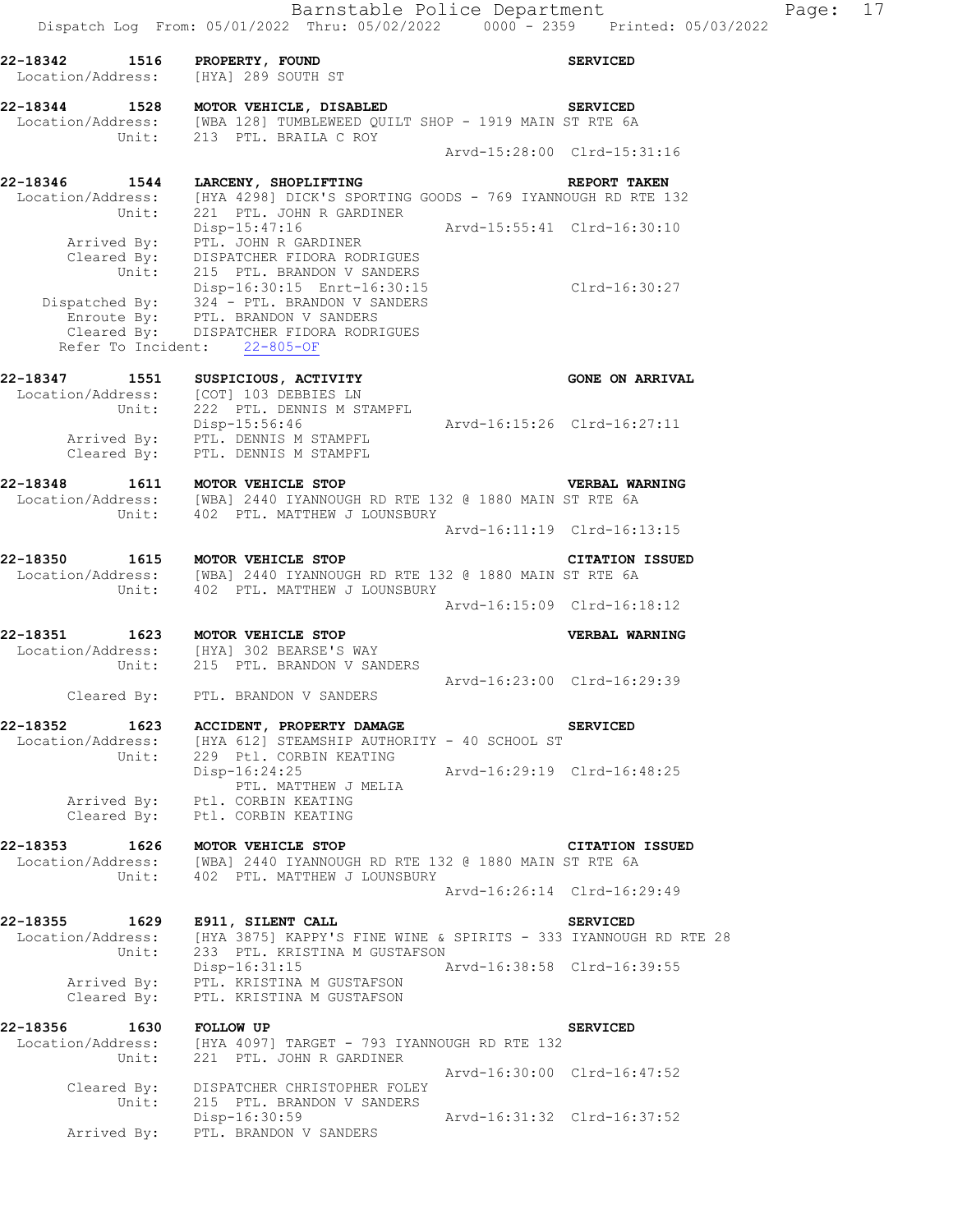| 22-18342 1516 PROPERTY, FOUND<br>Location/Address: [HYA] 289 SOUTH ST |                                                                                                                                                                                                                                                                                                                    |                             | <b>SERVICED</b>             |
|-----------------------------------------------------------------------|--------------------------------------------------------------------------------------------------------------------------------------------------------------------------------------------------------------------------------------------------------------------------------------------------------------------|-----------------------------|-----------------------------|
|                                                                       | 22-18344 1528 MOTOR VEHICLE, DISABLED<br>Location/Address: [WBA 128] TUMBLEWEED QUILT SHOP - 1919 MAIN ST RTE 6A<br>Unit: 213 PTL. BRAILA C ROY                                                                                                                                                                    |                             | <b>SERVICED</b>             |
|                                                                       |                                                                                                                                                                                                                                                                                                                    |                             | Arvd-15:28:00 Clrd-15:31:16 |
| 22-18346 1544<br>Location/Address:                                    | LARCENY, SHOPLIFTING<br>[HYA 4298] DICK'S SPORTING GOODS - 769 IYANNOUGH RD RTE 132                                                                                                                                                                                                                                |                             | REPORT TAKEN                |
| Unit:                                                                 | 221 PTL. JOHN R GARDINER<br>Disp-15:47:16                                                                                                                                                                                                                                                                          | Arvd-15:55:41 Clrd-16:30:10 |                             |
|                                                                       | Arrived By: PTL. JOHN R GARDINER<br>Cleared By: PTL. JOHN R GARDINER<br>Cleared By: DISPATCHER FIDORA RODRIGUES<br>Unit: 215 PTL. BRANDON V SANDERS<br>Disp-16:30:15 Enrt-16:30:15<br>Dispatched By: 324 - PTL. BRANDON V SANDERS<br>Enroute By: PTL. BRANDON V SANDERS<br>Cleared By: DISPATCHER FIDORA RODRIGUES |                             | Clrd-16:30:27               |
|                                                                       | Refer To Incident: 22-805-OF                                                                                                                                                                                                                                                                                       |                             |                             |
|                                                                       | 22-18347 1551 SUSPICIOUS, ACTIVITY<br>Location/Address: [COT] 103 DEBBIES LN<br>Unit: 222 PTL. DENNIS M STAMPFL                                                                                                                                                                                                    |                             | <b>GONE ON ARRIVAL</b>      |
|                                                                       | Disp-15:56:46<br>Arrived By: PTL. DENNIS M STAMPFL<br>Cleared By: PTL. DENNIS M STAMPFL                                                                                                                                                                                                                            | Arvd-16:15:26 Clrd-16:27:11 |                             |
| 22-18348                                                              | 1611 MOTOR VEHICLE STOP<br>Location/Address: [WBA] 2440 IYANNOUGH RD RTE 132 @ 1880 MAIN ST RTE 6A<br>Unit: 402 PTL. MATTHEW J LOUNSBURY                                                                                                                                                                           |                             | <b>VERBAL WARNING</b>       |
|                                                                       |                                                                                                                                                                                                                                                                                                                    |                             | Arvd-16:11:19 Clrd-16:13:15 |
| 22-18350                                                              | 1615 MOTOR VEHICLE STOP<br>Location/Address: [WBA] 2440 IYANNOUGH RD RTE 132 @ 1880 MAIN ST RTE 6A<br>Unit: 402 PTL. MATTHEW J LOUNSBURY                                                                                                                                                                           |                             | <b>CITATION ISSUED</b>      |
|                                                                       |                                                                                                                                                                                                                                                                                                                    |                             | Arvd-16:15:09 Clrd-16:18:12 |
| 22-18351                                                              | 1623 MOTOR VEHICLE STOP<br>Location/Address: [HYA] 302 BEARSE'S WAY<br>Unit: 215 PTL. BRANDON V SANDERS                                                                                                                                                                                                            |                             | VERBAL WARNING              |
|                                                                       | Cleared By: PTL. BRANDON V SANDERS                                                                                                                                                                                                                                                                                 | Arvd-16:23:00 Clrd-16:29:39 |                             |
| 22-18352<br>1623<br>Unit:                                             | <b>ACCIDENT, PROPERTY DAMAGE</b><br>Location/Address: [HYA 612] STEAMSHIP AUTHORITY - 40 SCHOOL ST<br>229 Ptl. CORBIN KEATING                                                                                                                                                                                      |                             | <b>SERVICED</b>             |
|                                                                       | Disp-16:24:25<br>Arvd-16:29:19 Clrd-16:48:25<br>PTL. MATTHEW J MELIA<br>Arrived By: Ptl. CORBIN KEATING                                                                                                                                                                                                            |                             |                             |
| Cleared By:                                                           | Ptl. CORBIN KEATING                                                                                                                                                                                                                                                                                                |                             |                             |
| 22-18353<br>1626<br>Location/Address:<br>Unit:                        | MOTOR VEHICLE STOP<br>[WBA] 2440 IYANNOUGH RD RTE 132 @ 1880 MAIN ST RTE 6A<br>402 PTL. MATTHEW J LOUNSBURY                                                                                                                                                                                                        |                             | <b>CITATION ISSUED</b>      |
|                                                                       |                                                                                                                                                                                                                                                                                                                    |                             | Arvd-16:26:14 Clrd-16:29:49 |
| 22-18355<br>1629<br>Location/Address:<br>Unit:                        | E911, SILENT CALL<br>[HYA 3875] KAPPY'S FINE WINE & SPIRITS - 333 IYANNOUGH RD RTE 28<br>233 PTL. KRISTINA M GUSTAFSON                                                                                                                                                                                             |                             | <b>SERVICED</b>             |
| Arrived By:<br>Cleared By:                                            | Disp-16:31:15<br>PTL. KRISTINA M GUSTAFSON<br>PTL. KRISTINA M GUSTAFSON                                                                                                                                                                                                                                            | Arvd-16:38:58 Clrd-16:39:55 |                             |
| 22-18356<br>Location/Address:                                         | 1630 FOLLOW UP<br>[HYA 4097] TARGET - 793 IYANNOUGH RD RTE 132                                                                                                                                                                                                                                                     |                             | <b>SERVICED</b>             |
| Unit:                                                                 | 221 PTL. JOHN R GARDINER                                                                                                                                                                                                                                                                                           |                             | Arvd-16:30:00 Clrd-16:47:52 |
| Cleared By:<br>Unit:                                                  | DISPATCHER CHRISTOPHER FOLEY<br>215 PTL. BRANDON V SANDERS<br>Disp-16:30:59                                                                                                                                                                                                                                        |                             | Arvd-16:31:32 Clrd-16:37:52 |
| Arrived By:                                                           | PTL. BRANDON V SANDERS                                                                                                                                                                                                                                                                                             |                             |                             |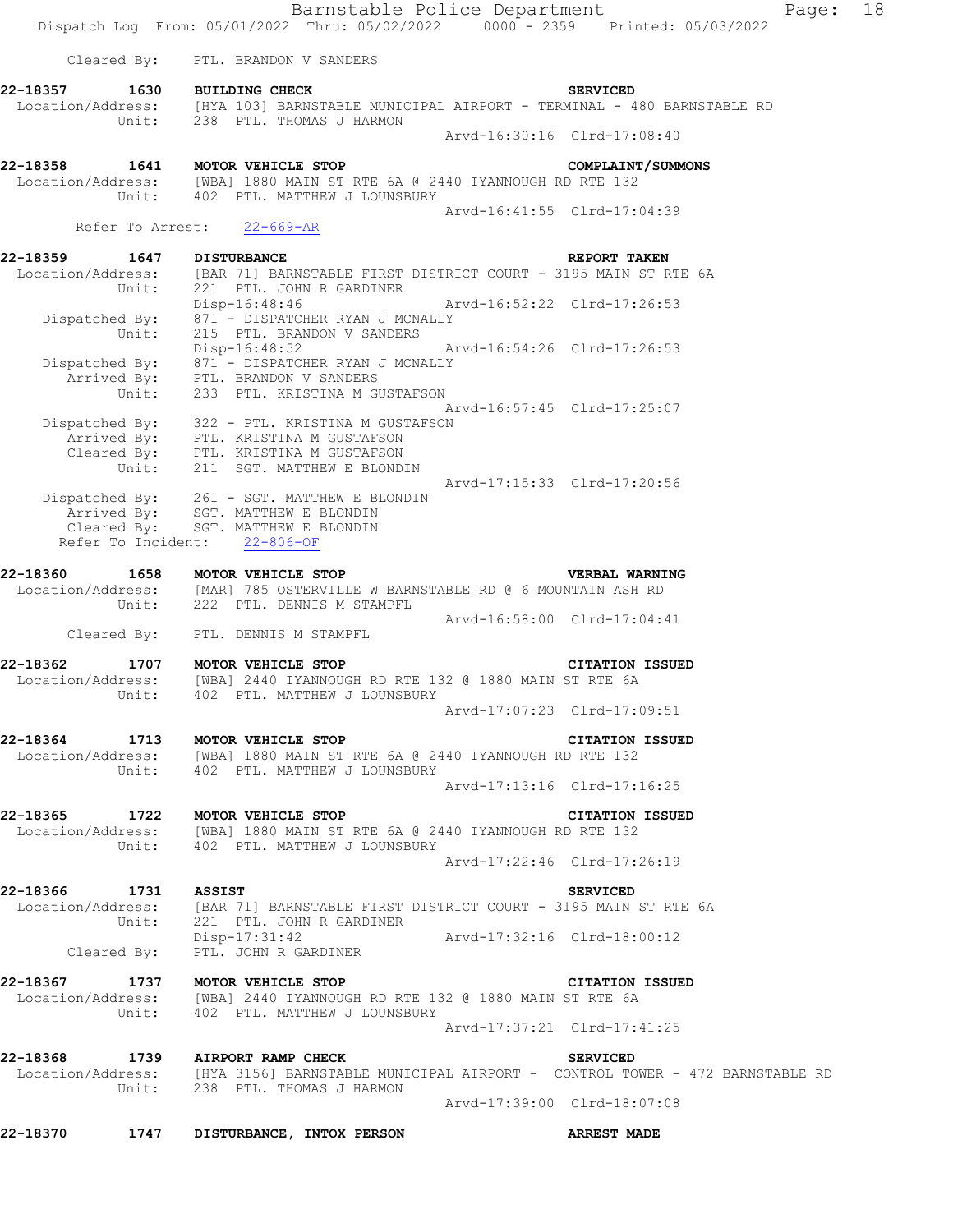|                      |                                                                                                                                                         | Barnstable Police Department<br>Dispatch Log From: 05/01/2022 Thru: 05/02/2022 0000 - 2359 Printed: 05/03/2022                   | Page: | 18 |
|----------------------|---------------------------------------------------------------------------------------------------------------------------------------------------------|----------------------------------------------------------------------------------------------------------------------------------|-------|----|
|                      | Cleared By: PTL. BRANDON V SANDERS                                                                                                                      |                                                                                                                                  |       |    |
|                      | Unit: 238 PTL. THOMAS J HARMON                                                                                                                          | 22-18357 1630 BUILDING CHECK SERVICED<br>Location/Address: [HYA 103] BARNSTABLE MUNICIPAL AIRPORT - TERMINAL - 480 BARNSTABLE RD |       |    |
|                      |                                                                                                                                                         | Arvd-16:30:16 Clrd-17:08:40                                                                                                      |       |    |
|                      | 22-18358 1641 MOTOR VEHICLE STOP<br>Location/Address: [WBA] 1880 MAIN ST RTE 6A @ 2440 IYANNOUGH RD RTE 132<br>Unit: 402 PTL. MATTHEW J LOUNSBURY       | COMPLAINT/SUMMONS                                                                                                                |       |    |
|                      | Refer To Arrest: 22-669-AR                                                                                                                              | Arvd-16:41:55 Clrd-17:04:39                                                                                                      |       |    |
|                      |                                                                                                                                                         |                                                                                                                                  |       |    |
|                      | Unit: 221 PTL. JOHN R GARDINER                                                                                                                          | 22-18359 1647 DISTURBANCE REPORT TAKEN<br>Location/Address: [BAR 71] BARNSTABLE FIRST DISTRICT COURT - 3195 MAIN ST RTE 6A       |       |    |
|                      | Dispatched By: 871 - DISPATCHER RYAN J MCNALLY<br>Unit: 215 PTL. BRANDON V SANDERS                                                                      | Disp-16:48:46 Arvd-16:52:22 Clrd-17:26:53                                                                                        |       |    |
|                      | Dispatched By: 871 - DISPATCHER RYAN J MCNALLY                                                                                                          |                                                                                                                                  |       |    |
|                      | Arrived By: PTL. BRANDON V SANDERS<br>Unit: 233 PTL. KRISTINA M GUSTAFSON                                                                               | Arvd-16:57:45 Clrd-17:25:07                                                                                                      |       |    |
|                      | Dispatched By: 322 - PTL. KRISTINA M GUSTAFSON<br>Arrived By: PTL. KRISTINA M GUSTAFSON<br>Cleared By: PTL. KRISTINA M GUSTAFSON                        |                                                                                                                                  |       |    |
|                      | Unit: 211 SGT. MATTHEW E BLONDIN                                                                                                                        | Arvd-17:15:33 Clrd-17:20:56                                                                                                      |       |    |
|                      | Dispatched By: 261 - SGT. MATTHEW E BLONDIN<br>Arrived By: SGT. MATTHEW E BLONDIN<br>Cleared By: SGT. MATTHEW E BLONDIN<br>Refer To Incident: 22-806-OF |                                                                                                                                  |       |    |
|                      | 22-18360 1658 MOTOR VEHICLE STOP<br>Location/Address: [MAR] 785 OSTERVILLE W BARNSTABLE RD @ 6 MOUNTAIN ASH RD                                          | <b>VERBAL WARNING</b>                                                                                                            |       |    |
|                      | Unit: 222 PTL. DENNIS M STAMPFL                                                                                                                         | Arvd-16:58:00 Clrd-17:04:41                                                                                                      |       |    |
|                      | Cleared By: PTL. DENNIS M STAMPFL                                                                                                                       |                                                                                                                                  |       |    |
|                      | 22-18362 1707 MOTOR VEHICLE STOP<br>Location/Address: [WBA] 2440 IYANNOUGH RD RTE 132 @ 1880 MAIN ST RTE 6A<br>Unit: 402 PTL. MATTHEW J LOUNSBURY       | <b>CITATION ISSUED</b>                                                                                                           |       |    |
|                      |                                                                                                                                                         | Arvd-17:07:23 Clrd-17:09:51                                                                                                      |       |    |
|                      | 22-18364 1713 MOTOR VEHICLE STOP<br>Location/Address: [WBA] 1880 MAIN ST RTE 6A @ 2440 IYANNOUGH RD RTE 132<br>Unit: 402 PTL. MATTHEW J LOUNSBURY       | CITATION ISSUED                                                                                                                  |       |    |
|                      |                                                                                                                                                         | Arvd-17:13:16 Clrd-17:16:25                                                                                                      |       |    |
|                      | 22-18365 1722 MOTOR VEHICLE STOP<br>Location/Address: [WBA] 1880 MAIN ST RTE 6A @ 2440 IYANNOUGH RD RTE 132                                             | <b>CITATION ISSUED</b>                                                                                                           |       |    |
|                      | Unit: 402 PTL. MATTHEW J LOUNSBURY                                                                                                                      | Arvd-17:22:46 Clrd-17:26:19                                                                                                      |       |    |
| 22-18366 1731 ASSIST |                                                                                                                                                         | SERVICED<br>Location/Address: [BAR 71] BARNSTABLE FIRST DISTRICT COURT - 3195 MAIN ST RTE 6A                                     |       |    |
|                      | Unit: 221 PTL. JOHN R GARDINER                                                                                                                          | Disp-17:31:42 Arvd-17:32:16 Clrd-18:00:12<br>Cleared By: PTL. JOHN R GARDINER                                                    |       |    |
|                      | 22-18367 1737 MOTOR VEHICLE STOP<br>Location/Address: [WBA] 2440 IYANNOUGH RD RTE 132 @ 1880 MAIN ST RTE 6A                                             | <b>CITATION ISSUED</b>                                                                                                           |       |    |
|                      | Unit: 402 PTL. MATTHEW J LOUNSBURY                                                                                                                      |                                                                                                                                  |       |    |
|                      | 22-18368 1739 AIRPORT RAMP CHECK<br>Unit: 238 PTL. THOMAS J HARMON                                                                                      | <b>SERVICED</b><br>Location/Address: [HYA 3156] BARNSTABLE MUNICIPAL AIRPORT - CONTROL TOWER - 472 BARNSTABLE RD                 |       |    |
|                      |                                                                                                                                                         | Arvd-17:39:00 Clrd-18:07:08                                                                                                      |       |    |
|                      | 22-18370 1747 DISTURBANCE, INTOX PERSON                                                                                                                 | <b>ARREST MADE</b>                                                                                                               |       |    |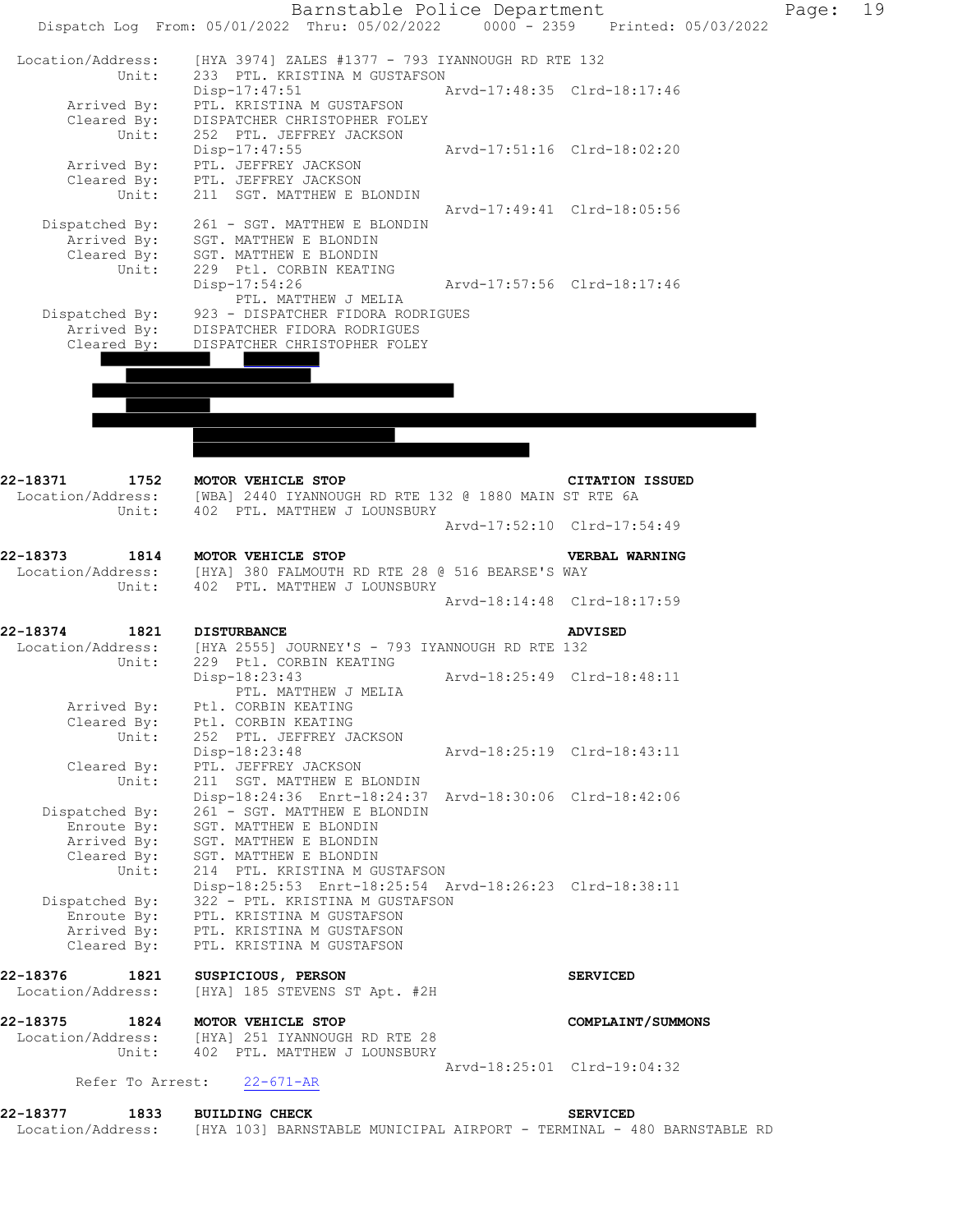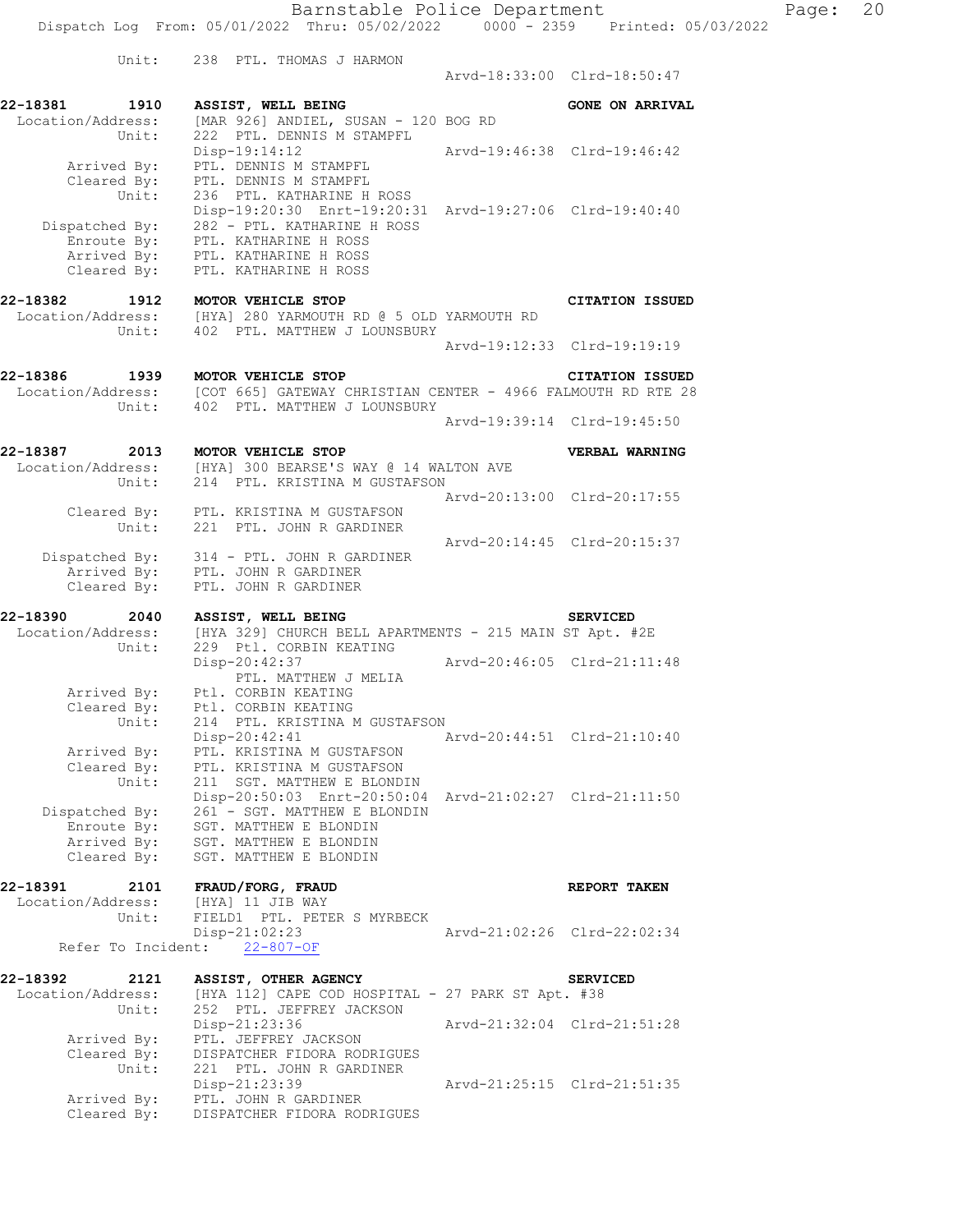| Unit:                                          | 238 PTL. THOMAS J HARMON                                                                                                                     |                             | Arvd-18:33:00 Clrd-18:50:47 |
|------------------------------------------------|----------------------------------------------------------------------------------------------------------------------------------------------|-----------------------------|-----------------------------|
| 22-18381<br>1910<br>Location/Address:<br>Unit: | ASSIST, WELL BEING<br>[MAR 926] ANDIEL, SUSAN - 120 BOG RD<br>222 PTL. DENNIS M STAMPFL                                                      |                             | <b>GONE ON ARRIVAL</b>      |
| Arrived By:<br>Cleared By:                     | Disp-19:14:12<br>PTL. DENNIS M STAMPFL<br>PTL. DENNIS M STAMPFL                                                                              |                             | Arvd-19:46:38 Clrd-19:46:42 |
| Unit:<br>Dispatched By:<br>Enroute By:         | 236 PTL. KATHARINE H ROSS<br>Disp-19:20:30 Enrt-19:20:31 Arvd-19:27:06 Clrd-19:40:40<br>282 - PTL. KATHARINE H ROSS<br>PTL. KATHARINE H ROSS |                             |                             |
| Arrived By:<br>Cleared By:                     | PTL. KATHARINE H ROSS<br>PTL. KATHARINE H ROSS                                                                                               |                             |                             |
| 22-18382<br>1912<br>Location/Address:<br>Unit: | MOTOR VEHICLE STOP<br>[HYA] 280 YARMOUTH RD @ 5 OLD YARMOUTH RD<br>402 PTL. MATTHEW J LOUNSBURY                                              |                             | <b>CITATION ISSUED</b>      |
|                                                |                                                                                                                                              |                             | Arvd-19:12:33 Clrd-19:19:19 |
| 22-18386<br>1939<br>Location/Address:<br>Unit: | MOTOR VEHICLE STOP<br>[COT 665] GATEWAY CHRISTIAN CENTER - 4966 FALMOUTH RD RTE 28<br>402 PTL. MATTHEW J LOUNSBURY                           |                             | <b>CITATION ISSUED</b>      |
|                                                |                                                                                                                                              |                             | Arvd-19:39:14 Clrd-19:45:50 |
| 22-18387<br>2013<br>Location/Address:<br>Unit: | MOTOR VEHICLE STOP<br>[HYA] 300 BEARSE'S WAY @ 14 WALTON AVE<br>214 PTL. KRISTINA M GUSTAFSON                                                |                             | VERBAL WARNING              |
|                                                |                                                                                                                                              |                             | Arvd-20:13:00 Clrd-20:17:55 |
| Unit:                                          | Cleared By: PTL. KRISTINA M GUSTAFSON<br>221 PTL. JOHN R GARDINER                                                                            |                             | Arvd-20:14:45 Clrd-20:15:37 |
| Arrived By:<br>Cleared By:                     | Dispatched By: 314 - PTL. JOHN R GARDINER<br>PTL. JOHN R GARDINER<br>PTL. JOHN R GARDINER                                                    |                             |                             |
| 22-18390<br>2040                               | ASSIST, WELL BEING                                                                                                                           |                             | <b>SERVICED</b>             |
| Location/Address:<br>Unit:                     | [HYA 329] CHURCH BELL APARTMENTS - 215 MAIN ST Apt. #2E<br>229 Ptl. CORBIN KEATING                                                           |                             |                             |
|                                                | Disp-20:42:37<br>PTL. MATTHEW J MELIA                                                                                                        | Arvd-20:46:05 Clrd-21:11:48 |                             |
| Arrived By:<br>Cleared By:<br>Unit:            | Ptl. CORBIN KEATING<br>Ptl. CORBIN KEATING<br>214 PTL. KRISTINA M GUSTAFSON                                                                  |                             |                             |
| Arrived By:<br>Cleared By:                     | Disp-20:42:41<br>PTL. KRISTINA M GUSTAFSON<br>PTL. KRISTINA M GUSTAFSON                                                                      |                             | Arvd-20:44:51 Clrd-21:10:40 |
| Unit:<br>Dispatched By:                        | 211 SGT. MATTHEW E BLONDIN<br>Disp-20:50:03 Enrt-20:50:04 Arvd-21:02:27 Clrd-21:11:50<br>261 - SGT. MATTHEW E BLONDIN                        |                             |                             |
| Enroute By:<br>Arrived By:<br>Cleared By:      | SGT. MATTHEW E BLONDIN<br>SGT. MATTHEW E BLONDIN<br>SGT. MATTHEW E BLONDIN                                                                   |                             |                             |
| 22-18391<br>2101                               | FRAUD/FORG, FRAUD                                                                                                                            |                             | REPORT TAKEN                |
| Location/Address:<br>Unit:                     | [HYA] 11 JIB WAY<br>FIELD1 PTL. PETER S MYRBECK                                                                                              |                             |                             |
|                                                | $Disp-21:02:23$<br>Refer To Incident: 22-807-OF                                                                                              |                             | Arvd-21:02:26 Clrd-22:02:34 |
| 22-18392<br>2121                               | ASSIST, OTHER AGENCY                                                                                                                         |                             | <b>SERVICED</b>             |
| Location/Address:<br>Unit:                     | [HYA 112] CAPE COD HOSPITAL - 27 PARK ST Apt. #38<br>252 PTL. JEFFREY JACKSON<br>Disp-21:23:36                                               |                             | Arvd-21:32:04 Clrd-21:51:28 |
| Arrived By:<br>Cleared By:<br>Unit:            | PTL. JEFFREY JACKSON<br>DISPATCHER FIDORA RODRIGUES<br>221 PTL. JOHN R GARDINER                                                              |                             |                             |
| Arrived By:<br>Cleared By:                     | Disp-21:23:39<br>PTL. JOHN R GARDINER<br>DISPATCHER FIDORA RODRIGUES                                                                         |                             | Arvd-21:25:15 Clrd-21:51:35 |
|                                                |                                                                                                                                              |                             |                             |